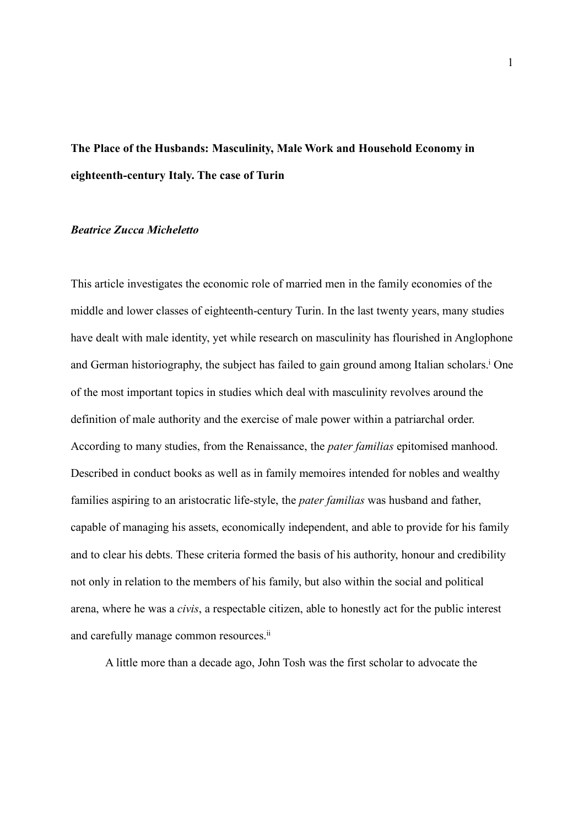# **The Place of the Husbands: Masculinity, Male Work and Household Economy in eighteenth-century Italy. The case of Turin**

## *Beatrice Zucca Micheletto*

This article investigates the economic role of married men in the family economies of the middle and lower classes of eighteenth-century Turin. In the last twenty years, many studies have dealt with male identity, yet while research on masculinity has flourished in Anglophone and German historiography, the subject has failed to gain ground among Italian scholars.<sup>i</sup> One of the most important topics in studies which deal with masculinity revolves around the definition of male authority and the exercise of male power within a patriarchal order. According to many studies, from the Renaissance, the *pater familias* epitomised manhood. Described in conduct books as well as in family memoires intended for nobles and wealthy families aspiring to an aristocratic life-style, the *pater familias* was husband and father, capable of managing his assets, economically independent, and able to provide for his family and to clear his debts. These criteria formed the basis of his authority, honour and credibility not only in relation to the members of his family, but also within the social and political arena, where he was a *civis*, a respectable citizen, able to honestly act for the public interest and carefully manage common resources.<sup>ii</sup>

A little more than a decade ago, John Tosh was the first scholar to advocate the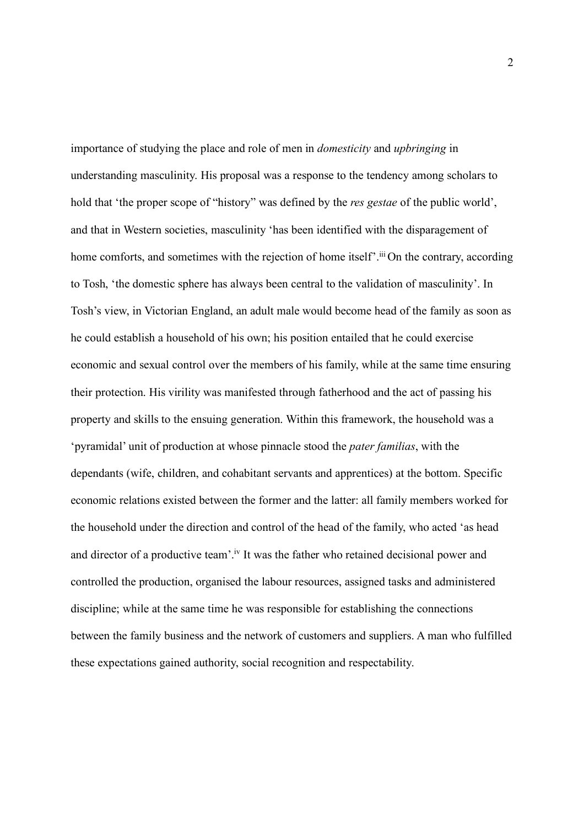importance of studying the place and role of men in *domesticity* and *upbringing* in understanding masculinity. His proposal was a response to the tendency among scholars to hold that 'the proper scope of "history" was defined by the *res gestae* of the public world', and that in Western societies, masculinity 'has been identified with the disparagement of home comforts, and sometimes with the rejection of home itself'.<sup>iii</sup> On the contrary, according to Tosh, 'the domestic sphere has always been central to the validation of masculinity'. In Tosh's view, in Victorian England, an adult male would become head of the family as soon as he could establish a household of his own; his position entailed that he could exercise economic and sexual control over the members of his family, while at the same time ensuring their protection. His virility was manifested through fatherhood and the act of passing his property and skills to the ensuing generation. Within this framework, the household was a 'pyramidal' unit of production at whose pinnacle stood the *pater familias*, with the dependants (wife, children, and cohabitant servants and apprentices) at the bottom. Specific economic relations existed between the former and the latter: all family members worked for the household under the direction and control of the head of the family, who acted 'as head and director of a productive team'.iv It was the father who retained decisional power and controlled the production, organised the labour resources, assigned tasks and administered discipline; while at the same time he was responsible for establishing the connections between the family business and the network of customers and suppliers. A man who fulfilled these expectations gained authority, social recognition and respectability.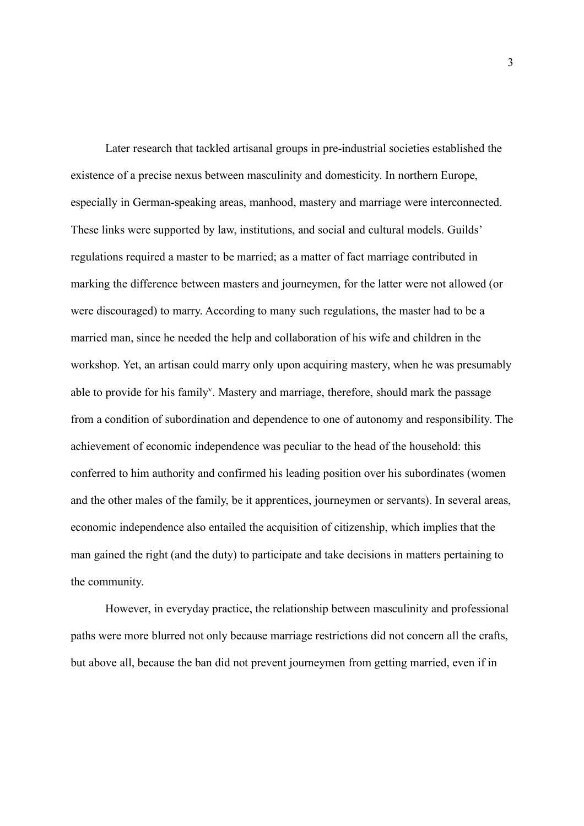Later research that tackled artisanal groups in pre-industrial societies established the existence of a precise nexus between masculinity and domesticity. In northern Europe, especially in German-speaking areas, manhood, mastery and marriage were interconnected. These links were supported by law, institutions, and social and cultural models. Guilds' regulations required a master to be married; as a matter of fact marriage contributed in marking the difference between masters and journeymen, for the latter were not allowed (or were discouraged) to marry. According to many such regulations, the master had to be a married man, since he needed the help and collaboration of his wife and children in the workshop. Yet, an artisan could marry only upon acquiring mastery, when he was presumably able to provide for his family<sup>v</sup>. Mastery and marriage, therefore, should mark the passage from a condition of subordination and dependence to one of autonomy and responsibility. The achievement of economic independence was peculiar to the head of the household: this conferred to him authority and confirmed his leading position over his subordinates (women and the other males of the family, be it apprentices, journeymen or servants). In several areas, economic independence also entailed the acquisition of citizenship, which implies that the man gained the right (and the duty) to participate and take decisions in matters pertaining to the community.

However, in everyday practice, the relationship between masculinity and professional paths were more blurred not only because marriage restrictions did not concern all the crafts, but above all, because the ban did not prevent journeymen from getting married, even if in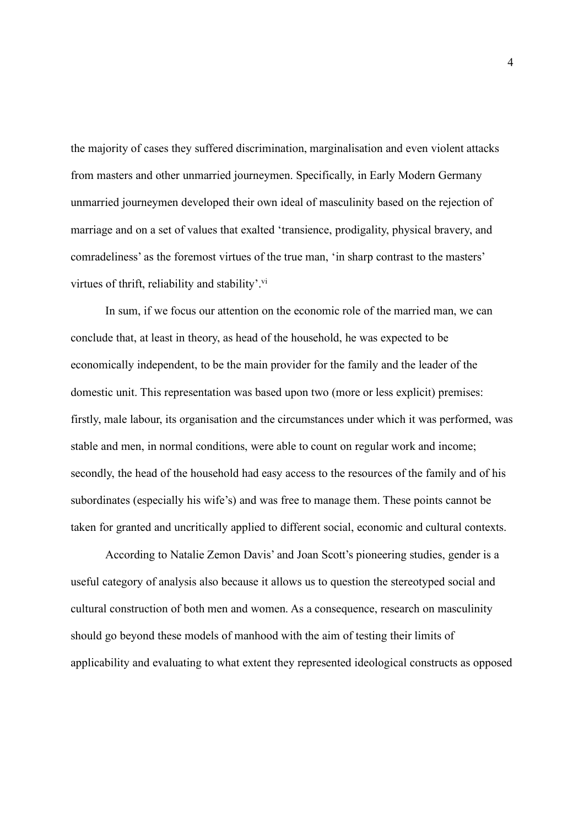the majority of cases they suffered discrimination, marginalisation and even violent attacks from masters and other unmarried journeymen. Specifically, in Early Modern Germany unmarried journeymen developed their own ideal of masculinity based on the rejection of marriage and on a set of values that exalted 'transience, prodigality, physical bravery, and comradeliness' as the foremost virtues of the true man, 'in sharp contrast to the masters' virtues of thrift, reliability and stability'.<sup>vi</sup>

In sum, if we focus our attention on the economic role of the married man, we can conclude that, at least in theory, as head of the household, he was expected to be economically independent, to be the main provider for the family and the leader of the domestic unit. This representation was based upon two (more or less explicit) premises: firstly, male labour, its organisation and the circumstances under which it was performed, was stable and men, in normal conditions, were able to count on regular work and income; secondly, the head of the household had easy access to the resources of the family and of his subordinates (especially his wife's) and was free to manage them. These points cannot be taken for granted and uncritically applied to different social, economic and cultural contexts.

According to Natalie Zemon Davis' and Joan Scott's pioneering studies, gender is a useful category of analysis also because it allows us to question the stereotyped social and cultural construction of both men and women. As a consequence, research on masculinity should go beyond these models of manhood with the aim of testing their limits of applicability and evaluating to what extent they represented ideological constructs as opposed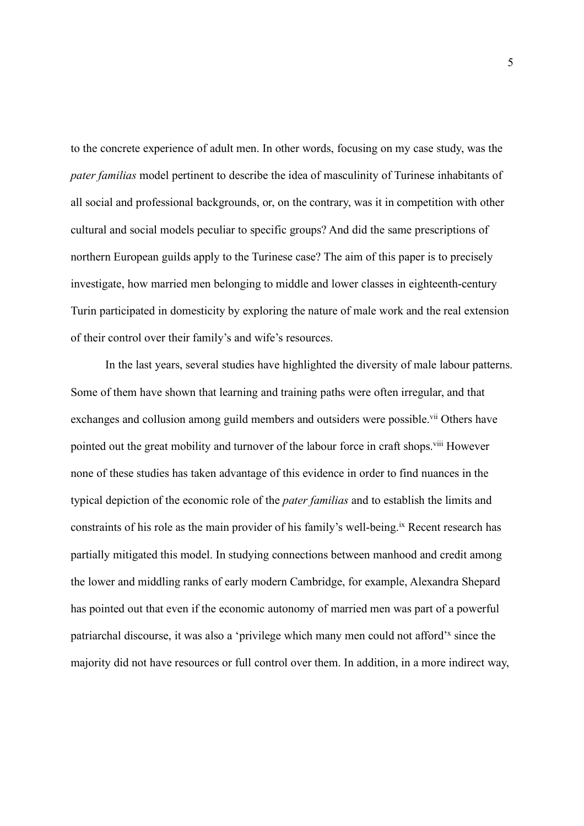to the concrete experience of adult men. In other words, focusing on my case study, was the *pater familias* model pertinent to describe the idea of masculinity of Turinese inhabitants of all social and professional backgrounds, or, on the contrary, was it in competition with other cultural and social models peculiar to specific groups? And did the same prescriptions of northern European guilds apply to the Turinese case? The aim of this paper is to precisely investigate, how married men belonging to middle and lower classes in eighteenth-century Turin participated in domesticity by exploring the nature of male work and the real extension of their control over their family's and wife's resources.

In the last years, several studies have highlighted the diversity of male labour patterns. Some of them have shown that learning and training paths were often irregular, and that exchanges and collusion among guild members and outsiders were possible.<sup>vii</sup> Others have pointed out the great mobility and turnover of the labour force in craft shops.<sup>viii</sup> However none of these studies has taken advantage of this evidence in order to find nuances in the typical depiction of the economic role of the *pater familias* and to establish the limits and constraints of his role as the main provider of his family's well-being.<sup>ix</sup> Recent research has partially mitigated this model. In studying connections between manhood and credit among the lower and middling ranks of early modern Cambridge, for example, Alexandra Shepard has pointed out that even if the economic autonomy of married men was part of a powerful patriarchal discourse, it was also a 'privilege which many men could not afford'<sup>x</sup> since the majority did not have resources or full control over them. In addition, in a more indirect way,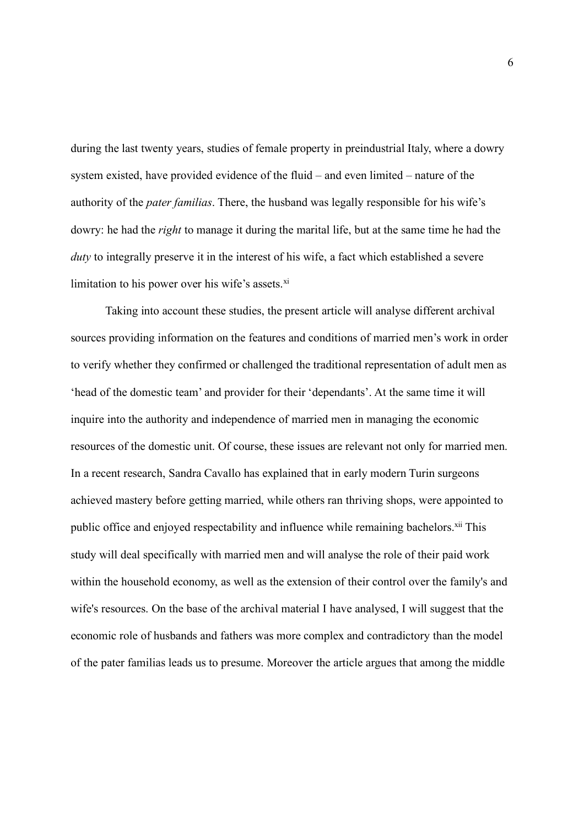during the last twenty years, studies of female property in preindustrial Italy, where a dowry system existed, have provided evidence of the fluid – and even limited – nature of the authority of the *pater familias*. There, the husband was legally responsible for his wife's dowry: he had the *right* to manage it during the marital life, but at the same time he had the *duty* to integrally preserve it in the interest of his wife, a fact which established a severe limitation to his power over his wife's assets. $x_i$ 

Taking into account these studies, the present article will analyse different archival sources providing information on the features and conditions of married men's work in order to verify whether they confirmed or challenged the traditional representation of adult men as 'head of the domestic team' and provider for their 'dependants'. At the same time it will inquire into the authority and independence of married men in managing the economic resources of the domestic unit. Of course, these issues are relevant not only for married men. In a recent research, Sandra Cavallo has explained that in early modern Turin surgeons achieved mastery before getting married, while others ran thriving shops, were appointed to public office and enjoyed respectability and influence while remaining bachelors.<sup>xii</sup> This study will deal specifically with married men and will analyse the role of their paid work within the household economy, as well as the extension of their control over the family's and wife's resources. On the base of the archival material I have analysed, I will suggest that the economic role of husbands and fathers was more complex and contradictory than the model of the pater familias leads us to presume. Moreover the article argues that among the middle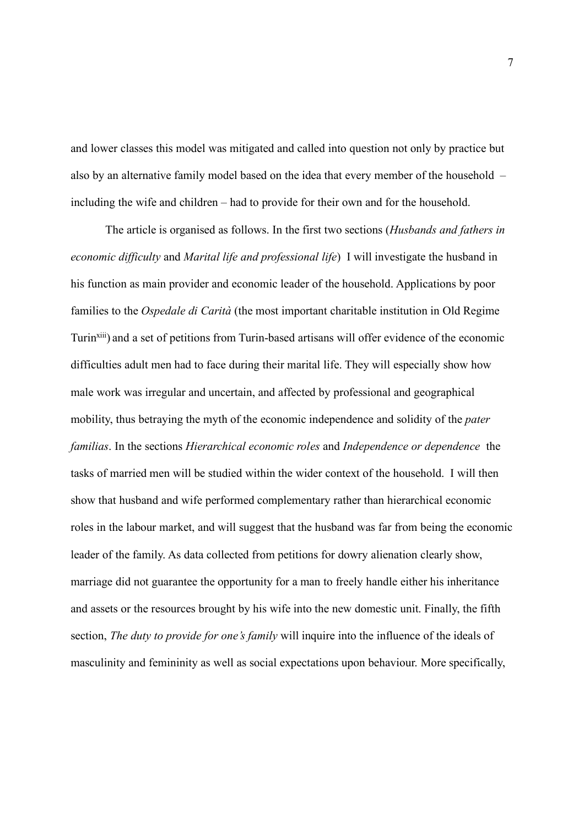and lower classes this model was mitigated and called into question not only by practice but also by an alternative family model based on the idea that every member of the household – including the wife and children – had to provide for their own and for the household.

The article is organised as follows. In the first two sections (*Husbands and fathers in economic difficulty* and *Marital life and professional life*) I will investigate the husband in his function as main provider and economic leader of the household. Applications by poor families to the *Ospedale di Carità* (the most important charitable institution in Old Regime Turinxiii) and a set of petitions from Turin-based artisans will offer evidence of the economic difficulties adult men had to face during their marital life. They will especially show how male work was irregular and uncertain, and affected by professional and geographical mobility, thus betraying the myth of the economic independence and solidity of the *pater familias*. In the sections *Hierarchical economic roles* and *Independence or dependence* the tasks of married men will be studied within the wider context of the household. I will then show that husband and wife performed complementary rather than hierarchical economic roles in the labour market, and will suggest that the husband was far from being the economic leader of the family. As data collected from petitions for dowry alienation clearly show, marriage did not guarantee the opportunity for a man to freely handle either his inheritance and assets or the resources brought by his wife into the new domestic unit. Finally, the fifth section, *The duty to provide for one's family* will inquire into the influence of the ideals of masculinity and femininity as well as social expectations upon behaviour. More specifically,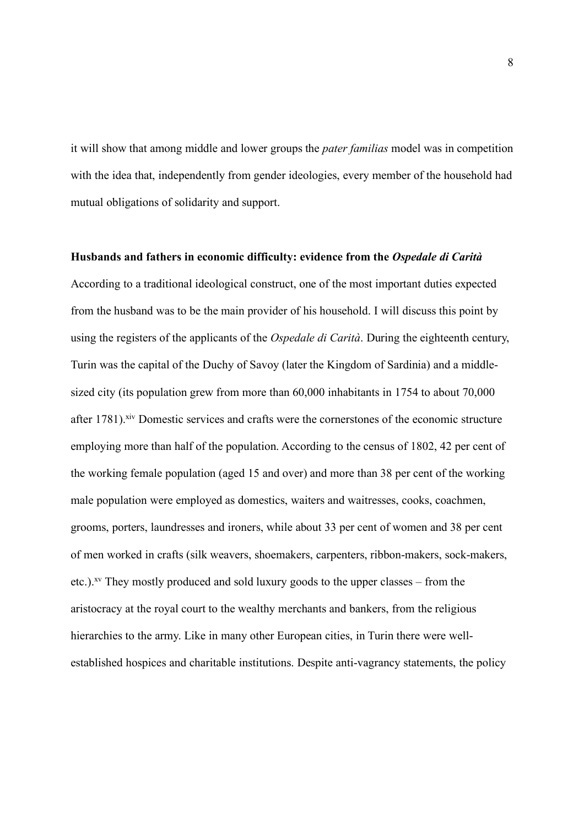it will show that among middle and lower groups the *pater familias* model was in competition with the idea that, independently from gender ideologies, every member of the household had mutual obligations of solidarity and support.

#### **Husbands and fathers in economic difficulty: evidence from the** *Ospedale di Carità*

According to a traditional ideological construct, one of the most important duties expected from the husband was to be the main provider of his household. I will discuss this point by using the registers of the applicants of the *Ospedale di Carità*. During the eighteenth century, Turin was the capital of the Duchy of Savoy (later the Kingdom of Sardinia) and a middlesized city (its population grew from more than 60,000 inhabitants in 1754 to about 70,000 after 1781).<sup>xiv</sup> Domestic services and crafts were the cornerstones of the economic structure employing more than half of the population. According to the census of 1802, 42 per cent of the working female population (aged 15 and over) and more than 38 per cent of the working male population were employed as domestics, waiters and waitresses, cooks, coachmen, grooms, porters, laundresses and ironers, while about 33 per cent of women and 38 per cent of men worked in crafts (silk weavers, shoemakers, carpenters, ribbon-makers, sock-makers, etc.).<sup>xv</sup> They mostly produced and sold luxury goods to the upper classes – from the aristocracy at the royal court to the wealthy merchants and bankers, from the religious hierarchies to the army. Like in many other European cities, in Turin there were wellestablished hospices and charitable institutions. Despite anti-vagrancy statements, the policy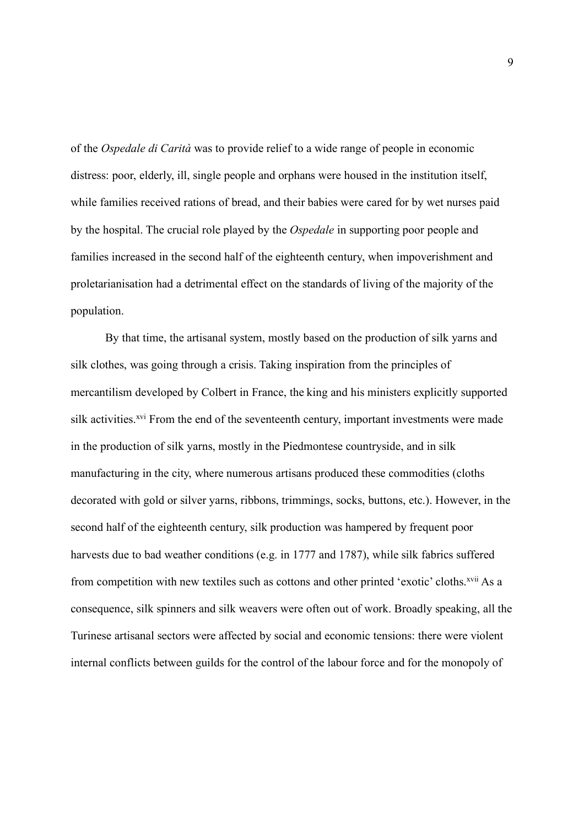of the *Ospedale di Carità* was to provide relief to a wide range of people in economic distress: poor, elderly, ill, single people and orphans were housed in the institution itself, while families received rations of bread, and their babies were cared for by wet nurses paid by the hospital. The crucial role played by the *Ospedale* in supporting poor people and families increased in the second half of the eighteenth century, when impoverishment and proletarianisation had a detrimental effect on the standards of living of the majority of the population.

By that time, the artisanal system, mostly based on the production of silk yarns and silk clothes, was going through a crisis. Taking inspiration from the principles of mercantilism developed by Colbert in France, the king and his ministers explicitly supported silk activities.<sup>xvi</sup> From the end of the seventeenth century, important investments were made in the production of silk yarns, mostly in the Piedmontese countryside, and in silk manufacturing in the city, where numerous artisans produced these commodities (cloths decorated with gold or silver yarns, ribbons, trimmings, socks, buttons, etc.). However, in the second half of the eighteenth century, silk production was hampered by frequent poor harvests due to bad weather conditions (e.g. in 1777 and 1787), while silk fabrics suffered from competition with new textiles such as cottons and other printed 'exotic' cloths.<sup>xvii</sup> As a consequence, silk spinners and silk weavers were often out of work. Broadly speaking, all the Turinese artisanal sectors were affected by social and economic tensions: there were violent internal conflicts between guilds for the control of the labour force and for the monopoly of

9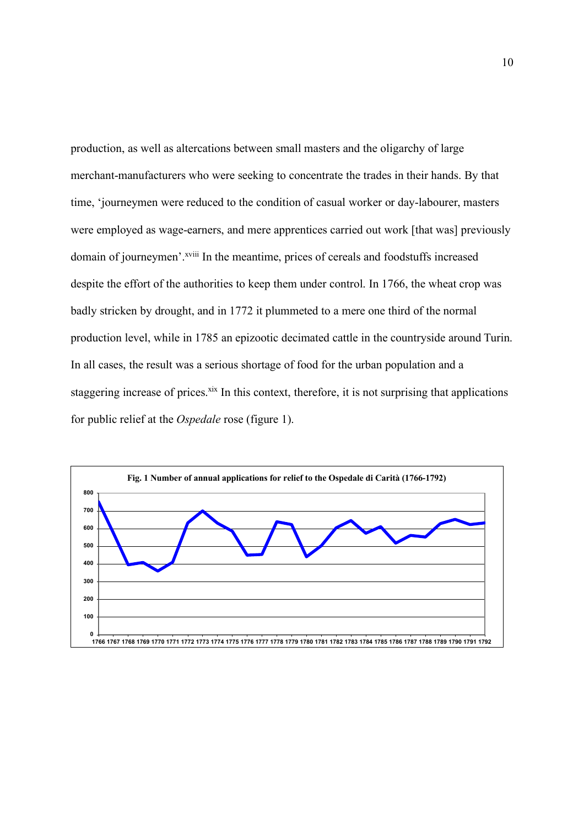production, as well as altercations between small masters and the oligarchy of large merchant-manufacturers who were seeking to concentrate the trades in their hands. By that time, 'journeymen were reduced to the condition of casual worker or day-labourer, masters were employed as wage-earners, and mere apprentices carried out work [that was] previously domain of journeymen'.<sup>xviii</sup> In the meantime, prices of cereals and foodstuffs increased despite the effort of the authorities to keep them under control. In 1766, the wheat crop was badly stricken by drought, and in 1772 it plummeted to a mere one third of the normal production level, while in 1785 an epizootic decimated cattle in the countryside around Turin. In all cases, the result was a serious shortage of food for the urban population and a staggering increase of prices.<sup>xix</sup> In this context, therefore, it is not surprising that applications for public relief at the *Ospedale* rose (figure 1).

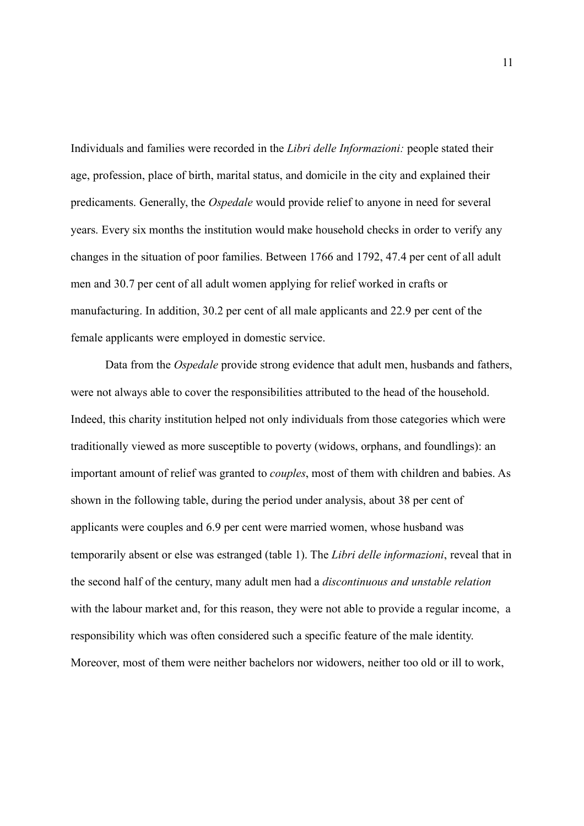Individuals and families were recorded in the *Libri delle Informazioni:* people stated their age, profession, place of birth, marital status, and domicile in the city and explained their predicaments. Generally, the *Ospedale* would provide relief to anyone in need for several years. Every six months the institution would make household checks in order to verify any changes in the situation of poor families. Between 1766 and 1792, 47.4 per cent of all adult men and 30.7 per cent of all adult women applying for relief worked in crafts or manufacturing. In addition, 30.2 per cent of all male applicants and 22.9 per cent of the female applicants were employed in domestic service.

Data from the *Ospedale* provide strong evidence that adult men, husbands and fathers, were not always able to cover the responsibilities attributed to the head of the household. Indeed, this charity institution helped not only individuals from those categories which were traditionally viewed as more susceptible to poverty (widows, orphans, and foundlings): an important amount of relief was granted to *couples*, most of them with children and babies. As shown in the following table, during the period under analysis, about 38 per cent of applicants were couples and 6.9 per cent were married women, whose husband was temporarily absent or else was estranged (table 1). The *Libri delle informazioni*, reveal that in the second half of the century, many adult men had a *discontinuous and unstable relation* with the labour market and, for this reason, they were not able to provide a regular income, a responsibility which was often considered such a specific feature of the male identity. Moreover, most of them were neither bachelors nor widowers, neither too old or ill to work,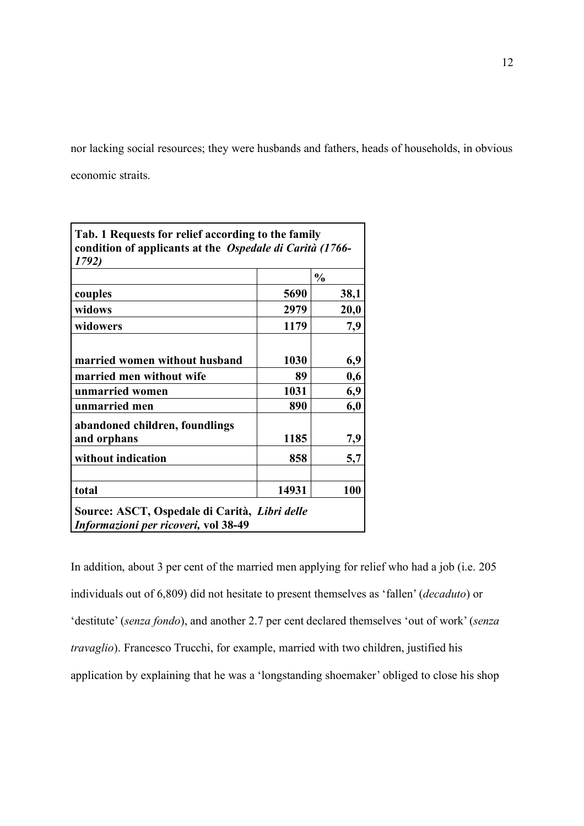nor lacking social resources; they were husbands and fathers, heads of households, in obvious economic straits.

| Tab. 1 Requests for relief according to the family<br>condition of applicants at the Ospedale di Carità (1766-<br>1792) |               |      |
|-------------------------------------------------------------------------------------------------------------------------|---------------|------|
|                                                                                                                         | $\frac{0}{0}$ |      |
| couples                                                                                                                 | 5690          | 38,1 |
| widows                                                                                                                  | 2979          | 20,0 |
| widowers                                                                                                                | 1179          | 7,9  |
| married women without husband                                                                                           | 1030          | 6,9  |
| married men without wife                                                                                                | 89            | 0,6  |
| unmarried women                                                                                                         | 1031          | 6,9  |
| unmarried men                                                                                                           | 890           | 6,0  |
| abandoned children, foundlings                                                                                          |               |      |
| and orphans                                                                                                             | 1185          | 7,9  |
| without indication                                                                                                      | 858           | 5,7  |
| total                                                                                                                   | 14931         | 100  |
| Source: ASCT, Ospedale di Carità, Libri delle<br>Informazioni per ricoveri, vol 38-49                                   |               |      |

In addition, about 3 per cent of the married men applying for relief who had a job (i.e. 205 individuals out of 6,809) did not hesitate to present themselves as 'fallen' (*decaduto*) or 'destitute' (*senza fondo*), and another 2.7 per cent declared themselves 'out of work' (*senza travaglio*). Francesco Trucchi, for example, married with two children, justified his application by explaining that he was a 'longstanding shoemaker' obliged to close his shop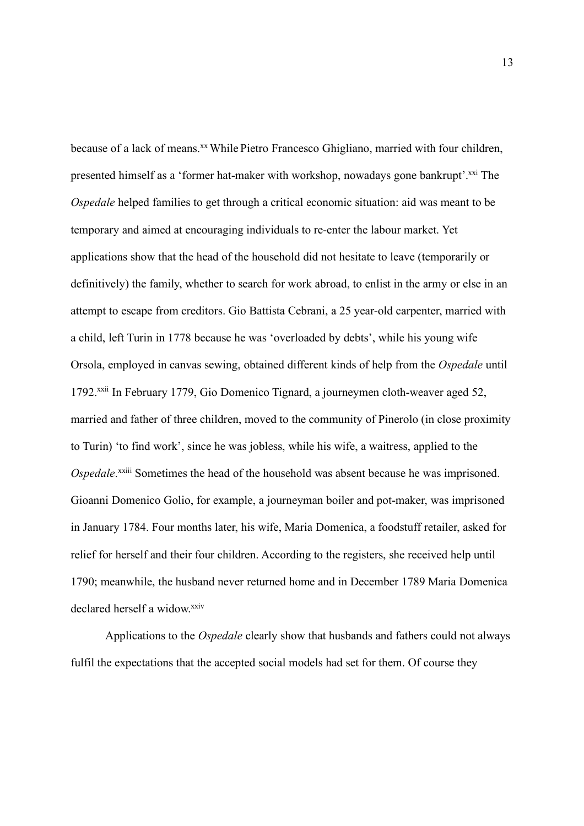because of a lack of means.<sup>xx</sup> While Pietro Francesco Ghigliano, married with four children, presented himself as a 'former hat-maker with workshop, nowadays gone bankrupt'.<sup>xxi</sup> The *Ospedale* helped families to get through a critical economic situation: aid was meant to be temporary and aimed at encouraging individuals to re-enter the labour market. Yet applications show that the head of the household did not hesitate to leave (temporarily or definitively) the family, whether to search for work abroad, to enlist in the army or else in an attempt to escape from creditors. Gio Battista Cebrani, a 25 year-old carpenter, married with a child, left Turin in 1778 because he was 'overloaded by debts', while his young wife Orsola, employed in canvas sewing, obtained different kinds of help from the *Ospedale* until 1792.xxii In February 1779, Gio Domenico Tignard, a journeymen cloth-weaver aged 52, married and father of three children, moved to the community of Pinerolo (in close proximity to Turin) 'to find work', since he was jobless, while his wife, a waitress, applied to the Ospedale.<sup>xxiii</sup> Sometimes the head of the household was absent because he was imprisoned. Gioanni Domenico Golio, for example, a journeyman boiler and pot-maker, was imprisoned in January 1784. Four months later, his wife, Maria Domenica, a foodstuff retailer, asked for relief for herself and their four children. According to the registers, she received help until 1790; meanwhile, the husband never returned home and in December 1789 Maria Domenica declared herself a widow.xxiv

Applications to the *Ospedale* clearly show that husbands and fathers could not always fulfil the expectations that the accepted social models had set for them. Of course they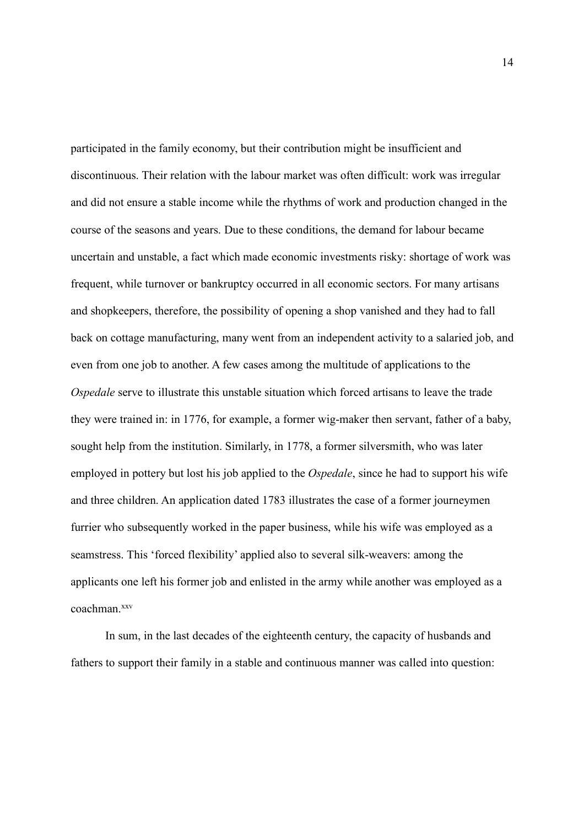participated in the family economy, but their contribution might be insufficient and discontinuous. Their relation with the labour market was often difficult: work was irregular and did not ensure a stable income while the rhythms of work and production changed in the course of the seasons and years. Due to these conditions, the demand for labour became uncertain and unstable, a fact which made economic investments risky: shortage of work was frequent, while turnover or bankruptcy occurred in all economic sectors. For many artisans and shopkeepers, therefore, the possibility of opening a shop vanished and they had to fall back on cottage manufacturing, many went from an independent activity to a salaried job, and even from one job to another. A few cases among the multitude of applications to the *Ospedale* serve to illustrate this unstable situation which forced artisans to leave the trade they were trained in: in 1776, for example, a former wig-maker then servant, father of a baby, sought help from the institution. Similarly, in 1778, a former silversmith, who was later employed in pottery but lost his job applied to the *Ospedale*, since he had to support his wife and three children. An application dated 1783 illustrates the case of a former journeymen furrier who subsequently worked in the paper business, while his wife was employed as a seamstress. This 'forced flexibility' applied also to several silk-weavers: among the applicants one left his former job and enlisted in the army while another was employed as a coachman<sup>xxv</sup>

In sum, in the last decades of the eighteenth century, the capacity of husbands and fathers to support their family in a stable and continuous manner was called into question: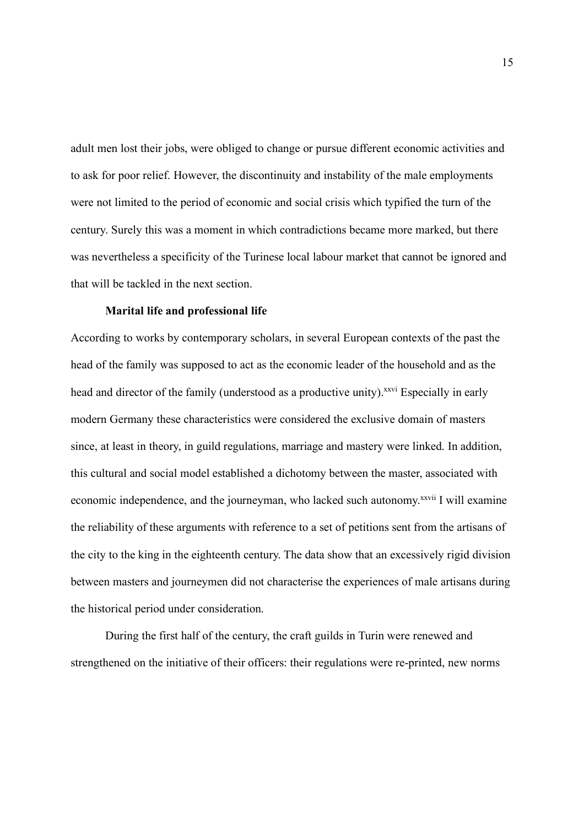adult men lost their jobs, were obliged to change or pursue different economic activities and to ask for poor relief. However, the discontinuity and instability of the male employments were not limited to the period of economic and social crisis which typified the turn of the century. Surely this was a moment in which contradictions became more marked, but there was nevertheless a specificity of the Turinese local labour market that cannot be ignored and that will be tackled in the next section.

### **Marital life and professional life**

According to works by contemporary scholars, in several European contexts of the past the head of the family was supposed to act as the economic leader of the household and as the head and director of the family (understood as a productive unity).<sup>xxvi</sup> Especially in early modern Germany these characteristics were considered the exclusive domain of masters since, at least in theory, in guild regulations, marriage and mastery were linked. In addition, this cultural and social model established a dichotomy between the master, associated with economic independence, and the journeyman, who lacked such autonomy.<sup>xxvii</sup> I will examine the reliability of these arguments with reference to a set of petitions sent from the artisans of the city to the king in the eighteenth century. The data show that an excessively rigid division between masters and journeymen did not characterise the experiences of male artisans during the historical period under consideration.

During the first half of the century, the craft guilds in Turin were renewed and strengthened on the initiative of their officers: their regulations were re-printed, new norms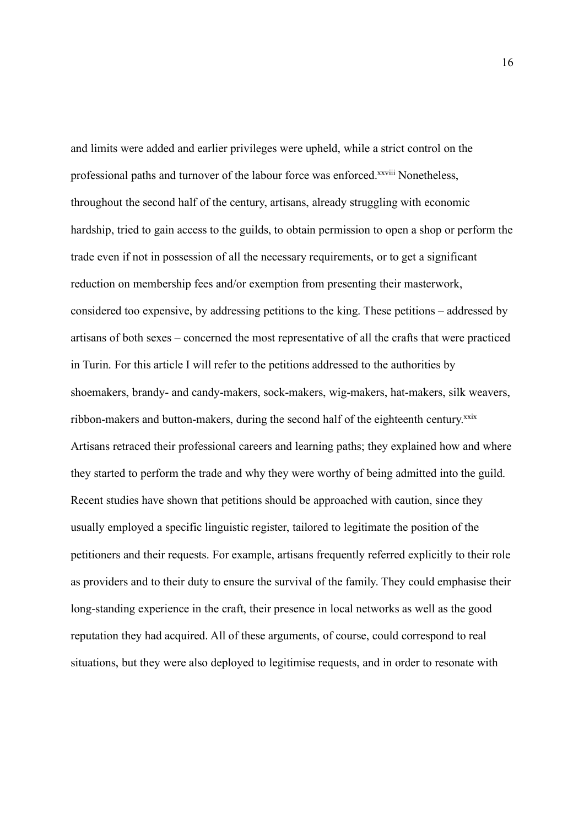and limits were added and earlier privileges were upheld, while a strict control on the professional paths and turnover of the labour force was enforced.<sup>xxviii</sup> Nonetheless, throughout the second half of the century, artisans, already struggling with economic hardship, tried to gain access to the guilds, to obtain permission to open a shop or perform the trade even if not in possession of all the necessary requirements, or to get a significant reduction on membership fees and/or exemption from presenting their masterwork, considered too expensive, by addressing petitions to the king. These petitions – addressed by artisans of both sexes – concerned the most representative of all the crafts that were practiced in Turin. For this article I will refer to the petitions addressed to the authorities by shoemakers, brandy- and candy-makers, sock-makers, wig-makers, hat-makers, silk weavers, ribbon-makers and button-makers, during the second half of the eighteenth century.<sup>xxix</sup> Artisans retraced their professional careers and learning paths; they explained how and where they started to perform the trade and why they were worthy of being admitted into the guild. Recent studies have shown that petitions should be approached with caution, since they usually employed a specific linguistic register, tailored to legitimate the position of the petitioners and their requests. For example, artisans frequently referred explicitly to their role as providers and to their duty to ensure the survival of the family. They could emphasise their long-standing experience in the craft, their presence in local networks as well as the good reputation they had acquired. All of these arguments, of course, could correspond to real situations, but they were also deployed to legitimise requests, and in order to resonate with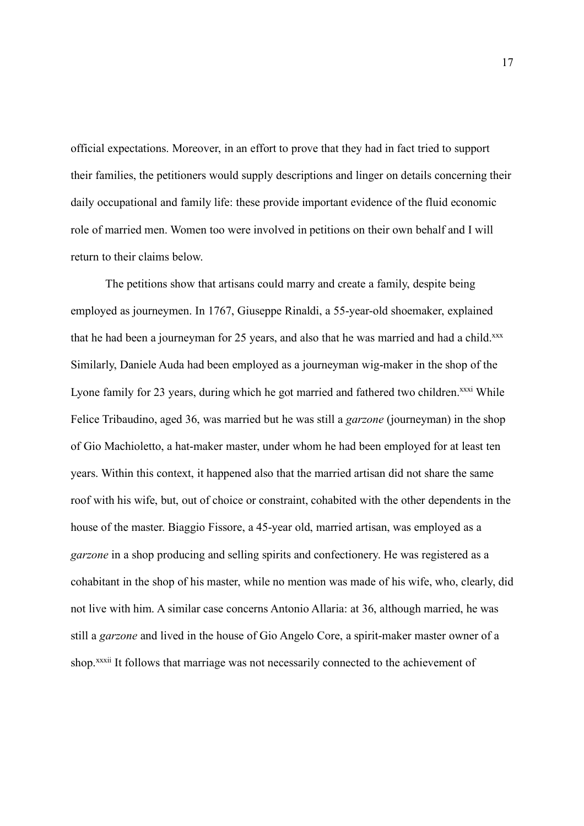official expectations. Moreover, in an effort to prove that they had in fact tried to support their families, the petitioners would supply descriptions and linger on details concerning their daily occupational and family life: these provide important evidence of the fluid economic role of married men. Women too were involved in petitions on their own behalf and I will return to their claims below.

The petitions show that artisans could marry and create a family, despite being employed as journeymen. In 1767, Giuseppe Rinaldi, a 55-year-old shoemaker, explained that he had been a journeyman for 25 years, and also that he was married and had a child.xxx Similarly, Daniele Auda had been employed as a journeyman wig-maker in the shop of the Lyone family for 23 years, during which he got married and fathered two children.<sup>xxxi</sup> While Felice Tribaudino, aged 36, was married but he was still a *garzone* (journeyman) in the shop of Gio Machioletto, a hat-maker master, under whom he had been employed for at least ten years. Within this context, it happened also that the married artisan did not share the same roof with his wife, but, out of choice or constraint, cohabited with the other dependents in the house of the master. Biaggio Fissore, a 45-year old, married artisan, was employed as a *garzone* in a shop producing and selling spirits and confectionery. He was registered as a cohabitant in the shop of his master, while no mention was made of his wife, who, clearly, did not live with him. A similar case concerns Antonio Allaria: at 36, although married, he was still a *garzone* and lived in the house of Gio Angelo Core, a spirit-maker master owner of a shop.<sup>xxxii</sup> It follows that marriage was not necessarily connected to the achievement of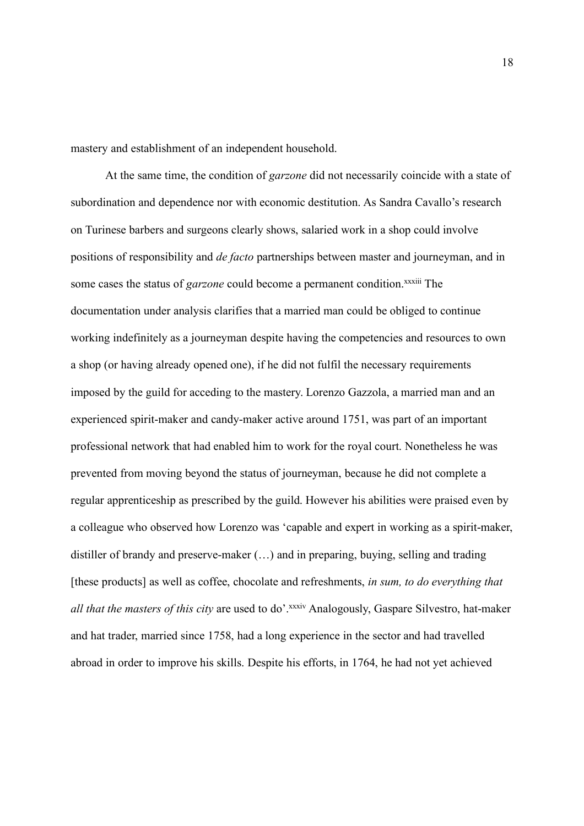mastery and establishment of an independent household.

At the same time, the condition of *garzone* did not necessarily coincide with a state of subordination and dependence nor with economic destitution. As Sandra Cavallo's research on Turinese barbers and surgeons clearly shows, salaried work in a shop could involve positions of responsibility and *de facto* partnerships between master and journeyman, and in some cases the status of *garzone* could become a permanent condition.<sup>xxxiii</sup> The documentation under analysis clarifies that a married man could be obliged to continue working indefinitely as a journeyman despite having the competencies and resources to own a shop (or having already opened one), if he did not fulfil the necessary requirements imposed by the guild for acceding to the mastery. Lorenzo Gazzola, a married man and an experienced spirit-maker and candy-maker active around 1751, was part of an important professional network that had enabled him to work for the royal court. Nonetheless he was prevented from moving beyond the status of journeyman, because he did not complete a regular apprenticeship as prescribed by the guild. However his abilities were praised even by a colleague who observed how Lorenzo was 'capable and expert in working as a spirit-maker, distiller of brandy and preserve-maker (…) and in preparing, buying, selling and trading [these products] as well as coffee, chocolate and refreshments, *in sum, to do everything that all that the masters of this city* are used to do'.<sup>xxxiv</sup> Analogously, Gaspare Silvestro, hat-maker and hat trader, married since 1758, had a long experience in the sector and had travelled abroad in order to improve his skills. Despite his efforts, in 1764, he had not yet achieved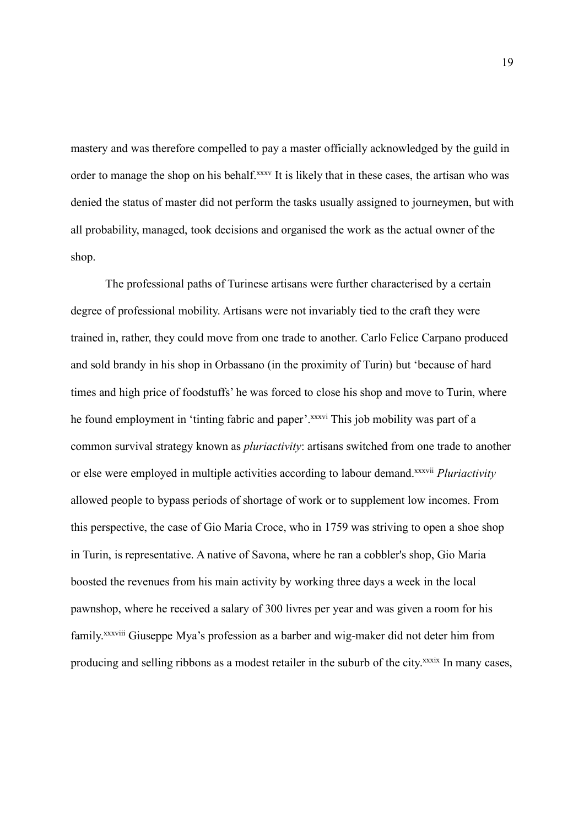mastery and was therefore compelled to pay a master officially acknowledged by the guild in order to manage the shop on his behalf.<sup>xxxv</sup> It is likely that in these cases, the artisan who was denied the status of master did not perform the tasks usually assigned to journeymen, but with all probability, managed, took decisions and organised the work as the actual owner of the shop.

The professional paths of Turinese artisans were further characterised by a certain degree of professional mobility. Artisans were not invariably tied to the craft they were trained in, rather, they could move from one trade to another. Carlo Felice Carpano produced and sold brandy in his shop in Orbassano (in the proximity of Turin) but 'because of hard times and high price of foodstuffs' he was forced to close his shop and move to Turin, where he found employment in 'tinting fabric and paper'.<sup>xxxvi</sup> This job mobility was part of a common survival strategy known as *pluriactivity*: artisans switched from one trade to another or else were employed in multiple activities according to labour demand.xxxvii *Pluriactivity* allowed people to bypass periods of shortage of work or to supplement low incomes. From this perspective, the case of Gio Maria Croce, who in 1759 was striving to open a shoe shop in Turin, is representative. A native of Savona, where he ran a cobbler's shop, Gio Maria boosted the revenues from his main activity by working three days a week in the local pawnshop, where he received a salary of 300 livres per year and was given a room for his family.<sup>xxxviii</sup> Giuseppe Mya's profession as a barber and wig-maker did not deter him from producing and selling ribbons as a modest retailer in the suburb of the city.<sup>xxxix</sup> In many cases,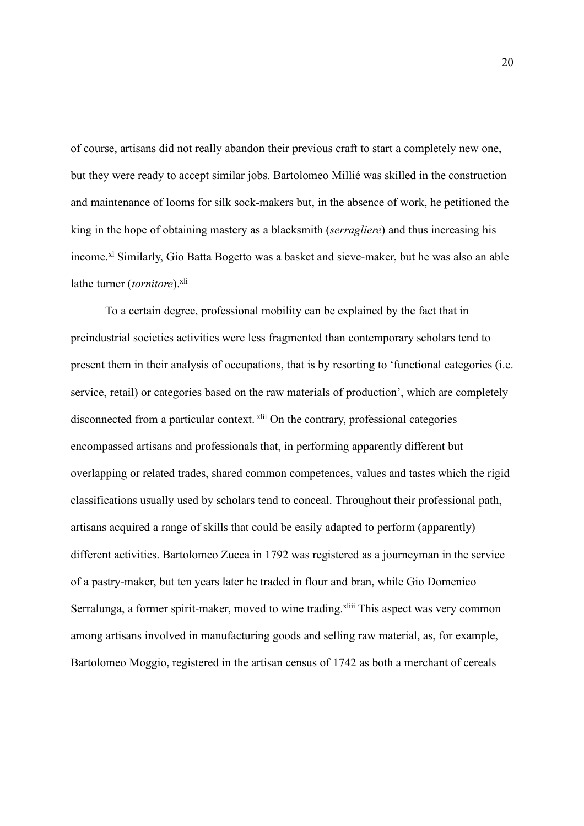of course, artisans did not really abandon their previous craft to start a completely new one, but they were ready to accept similar jobs. Bartolomeo Millié was skilled in the construction and maintenance of looms for silk sock-makers but, in the absence of work, he petitioned the king in the hope of obtaining mastery as a blacksmith (*serragliere*) and thus increasing his income.<sup>xl</sup> Similarly, Gio Batta Bogetto was a basket and sieve-maker, but he was also an able lathe turner (*tornitore*).<sup>xli</sup>

To a certain degree, professional mobility can be explained by the fact that in preindustrial societies activities were less fragmented than contemporary scholars tend to present them in their analysis of occupations, that is by resorting to 'functional categories (i.e. service, retail) or categories based on the raw materials of production', which are completely disconnected from a particular context. xlii On the contrary, professional categories encompassed artisans and professionals that, in performing apparently different but overlapping or related trades, shared common competences, values and tastes which the rigid classifications usually used by scholars tend to conceal. Throughout their professional path, artisans acquired a range of skills that could be easily adapted to perform (apparently) different activities. Bartolomeo Zucca in 1792 was registered as a journeyman in the service of a pastry-maker, but ten years later he traded in flour and bran, while Gio Domenico Serralunga, a former spirit-maker, moved to wine trading.<sup>xliii</sup> This aspect was very common among artisans involved in manufacturing goods and selling raw material, as, for example, Bartolomeo Moggio, registered in the artisan census of 1742 as both a merchant of cereals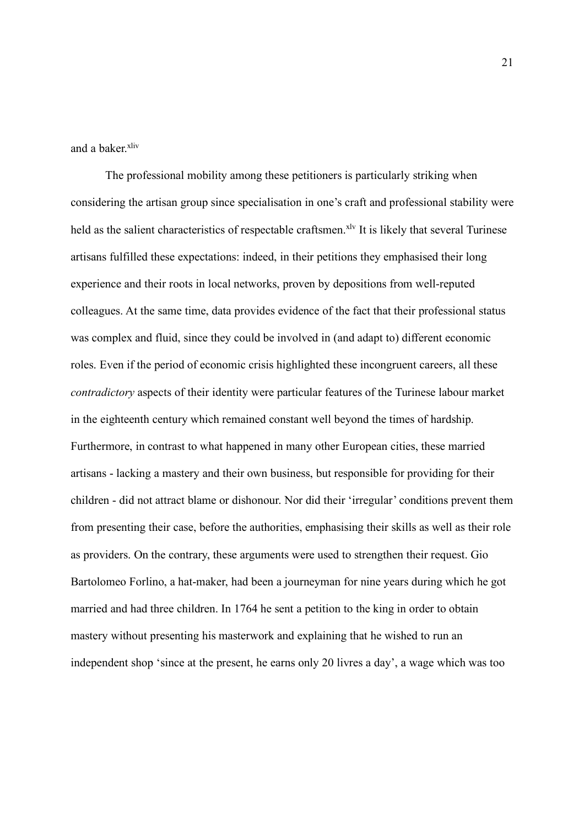and a baker.xliv

The professional mobility among these petitioners is particularly striking when considering the artisan group since specialisation in one's craft and professional stability were held as the salient characteristics of respectable craftsmen.<sup>xlv</sup> It is likely that several Turinese artisans fulfilled these expectations: indeed, in their petitions they emphasised their long experience and their roots in local networks, proven by depositions from well-reputed colleagues. At the same time, data provides evidence of the fact that their professional status was complex and fluid, since they could be involved in (and adapt to) different economic roles. Even if the period of economic crisis highlighted these incongruent careers, all these *contradictory* aspects of their identity were particular features of the Turinese labour market in the eighteenth century which remained constant well beyond the times of hardship. Furthermore, in contrast to what happened in many other European cities, these married artisans - lacking a mastery and their own business, but responsible for providing for their children - did not attract blame or dishonour. Nor did their 'irregular' conditions prevent them from presenting their case, before the authorities, emphasising their skills as well as their role as providers. On the contrary, these arguments were used to strengthen their request. Gio Bartolomeo Forlino, a hat-maker, had been a journeyman for nine years during which he got married and had three children. In 1764 he sent a petition to the king in order to obtain mastery without presenting his masterwork and explaining that he wished to run an independent shop 'since at the present, he earns only 20 livres a day', a wage which was too

21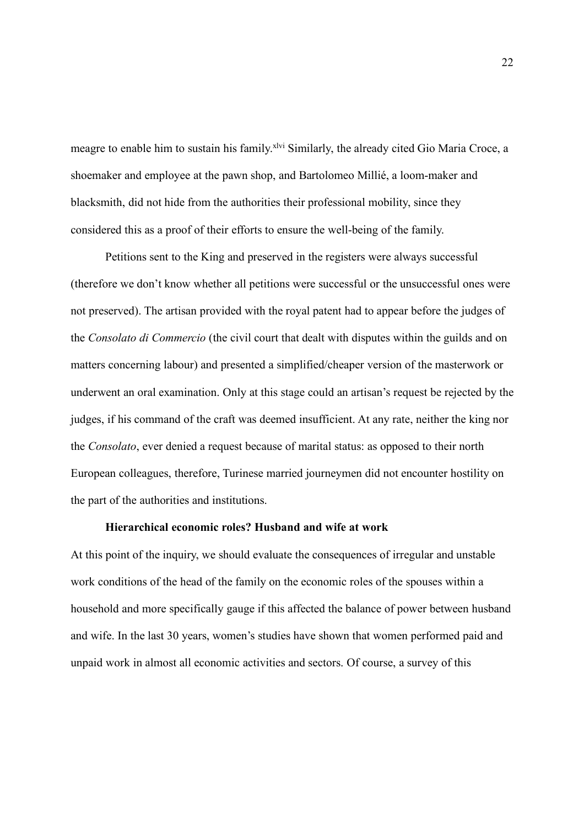meagre to enable him to sustain his family.<sup>xlvi</sup> Similarly, the already cited Gio Maria Croce, a shoemaker and employee at the pawn shop, and Bartolomeo Millié, a loom-maker and blacksmith, did not hide from the authorities their professional mobility, since they considered this as a proof of their efforts to ensure the well-being of the family.

Petitions sent to the King and preserved in the registers were always successful (therefore we don't know whether all petitions were successful or the unsuccessful ones were not preserved). The artisan provided with the royal patent had to appear before the judges of the *Consolato di Commercio* (the civil court that dealt with disputes within the guilds and on matters concerning labour) and presented a simplified/cheaper version of the masterwork or underwent an oral examination. Only at this stage could an artisan's request be rejected by the judges, if his command of the craft was deemed insufficient. At any rate, neither the king nor the *Consolato*, ever denied a request because of marital status: as opposed to their north European colleagues, therefore, Turinese married journeymen did not encounter hostility on the part of the authorities and institutions.

### **Hierarchical economic roles? Husband and wife at work**

At this point of the inquiry, we should evaluate the consequences of irregular and unstable work conditions of the head of the family on the economic roles of the spouses within a household and more specifically gauge if this affected the balance of power between husband and wife. In the last 30 years, women's studies have shown that women performed paid and unpaid work in almost all economic activities and sectors. Of course, a survey of this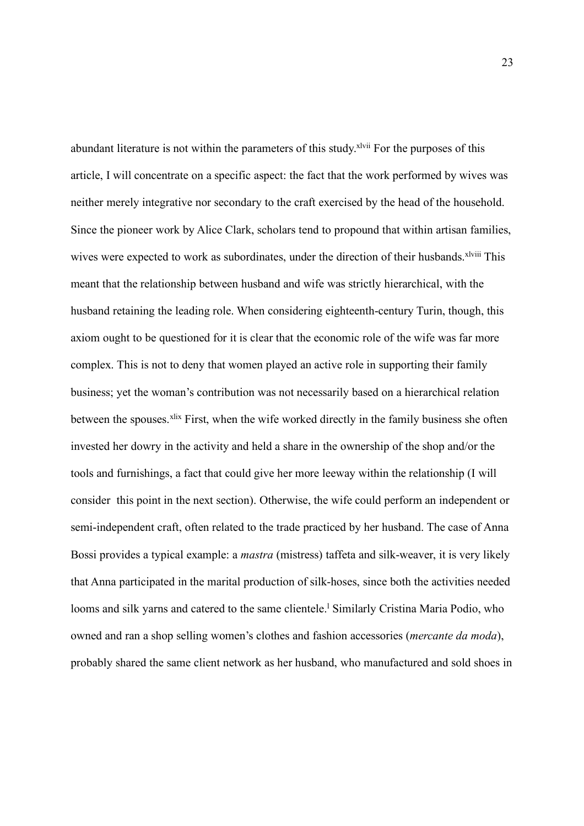abundant literature is not within the parameters of this study.<sup>xlvii</sup> For the purposes of this article, I will concentrate on a specific aspect: the fact that the work performed by wives was neither merely integrative nor secondary to the craft exercised by the head of the household. Since the pioneer work by Alice Clark, scholars tend to propound that within artisan families, wives were expected to work as subordinates, under the direction of their husbands.<sup>xlviii</sup> This meant that the relationship between husband and wife was strictly hierarchical, with the husband retaining the leading role. When considering eighteenth-century Turin, though, this axiom ought to be questioned for it is clear that the economic role of the wife was far more complex. This is not to deny that women played an active role in supporting their family business; yet the woman's contribution was not necessarily based on a hierarchical relation between the spouses.<sup>xlix</sup> First, when the wife worked directly in the family business she often invested her dowry in the activity and held a share in the ownership of the shop and/or the tools and furnishings, a fact that could give her more leeway within the relationship (I will consider this point in the next section). Otherwise, the wife could perform an independent or semi-independent craft, often related to the trade practiced by her husband. The case of Anna Bossi provides a typical example: a *mastra* (mistress) taffeta and silk-weaver, it is very likely that Anna participated in the marital production of silk-hoses, since both the activities needed looms and silk yarns and catered to the same clientele.<sup>1</sup> Similarly Cristina Maria Podio, who owned and ran a shop selling women's clothes and fashion accessories (*mercante da moda*), probably shared the same client network as her husband, who manufactured and sold shoes in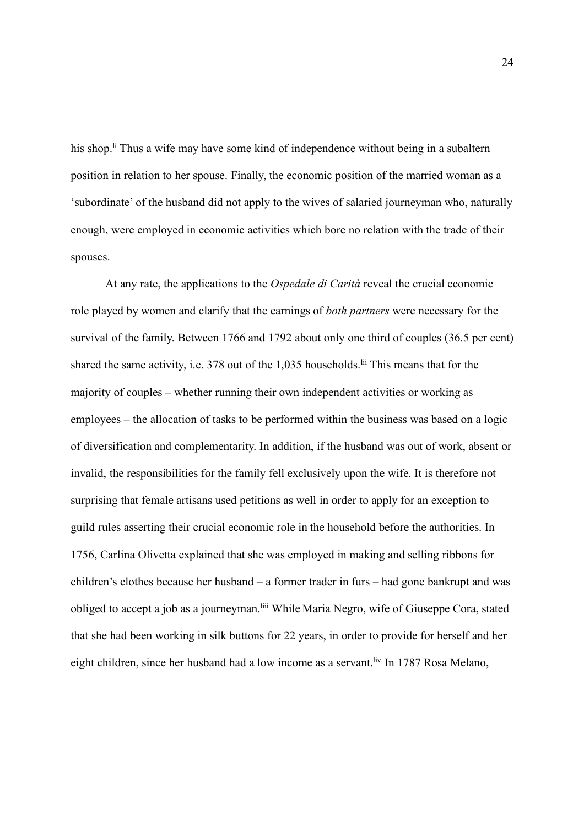his shop.<sup>If</sup> Thus a wife may have some kind of independence without being in a subaltern position in relation to her spouse. Finally, the economic position of the married woman as a 'subordinate' of the husband did not apply to the wives of salaried journeyman who, naturally enough, were employed in economic activities which bore no relation with the trade of their spouses.

At any rate, the applications to the *Ospedale di Carità* reveal the crucial economic role played by women and clarify that the earnings of *both partners* were necessary for the survival of the family. Between 1766 and 1792 about only one third of couples (36.5 per cent) shared the same activity, i.e. 378 out of the 1,035 households.<sup>lii</sup> This means that for the majority of couples – whether running their own independent activities or working as employees – the allocation of tasks to be performed within the business was based on a logic of diversification and complementarity. In addition, if the husband was out of work, absent or invalid, the responsibilities for the family fell exclusively upon the wife. It is therefore not surprising that female artisans used petitions as well in order to apply for an exception to guild rules asserting their crucial economic role in the household before the authorities. In 1756, Carlina Olivetta explained that she was employed in making and selling ribbons for children's clothes because her husband – a former trader in furs – had gone bankrupt and was obliged to accept a job as a journeyman.liii While Maria Negro, wife of Giuseppe Cora, stated that she had been working in silk buttons for 22 years, in order to provide for herself and her eight children, since her husband had a low income as a servant.<sup>liv</sup> In 1787 Rosa Melano,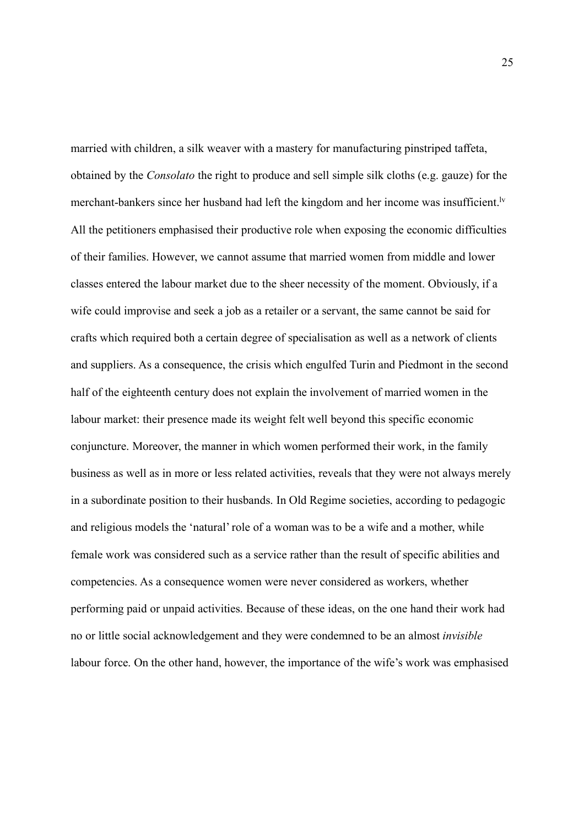married with children, a silk weaver with a mastery for manufacturing pinstriped taffeta, obtained by the *Consolato* the right to produce and sell simple silk cloths (e.g. gauze) for the merchant-bankers since her husband had left the kingdom and her income was insufficient.<sup>Iv</sup> All the petitioners emphasised their productive role when exposing the economic difficulties of their families. However, we cannot assume that married women from middle and lower classes entered the labour market due to the sheer necessity of the moment. Obviously, if a wife could improvise and seek a job as a retailer or a servant, the same cannot be said for crafts which required both a certain degree of specialisation as well as a network of clients and suppliers. As a consequence, the crisis which engulfed Turin and Piedmont in the second half of the eighteenth century does not explain the involvement of married women in the labour market: their presence made its weight felt well beyond this specific economic conjuncture. Moreover, the manner in which women performed their work, in the family business as well as in more or less related activities, reveals that they were not always merely in a subordinate position to their husbands. In Old Regime societies, according to pedagogic and religious models the 'natural' role of a woman was to be a wife and a mother, while female work was considered such as a service rather than the result of specific abilities and competencies. As a consequence women were never considered as workers, whether performing paid or unpaid activities. Because of these ideas, on the one hand their work had no or little social acknowledgement and they were condemned to be an almost *invisible* labour force. On the other hand, however, the importance of the wife's work was emphasised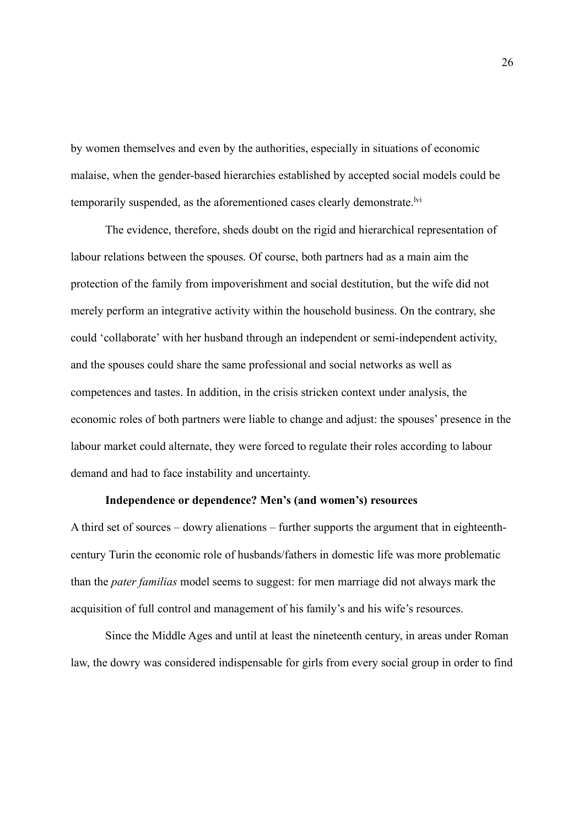by women themselves and even by the authorities, especially in situations of economic malaise, when the gender-based hierarchies established by accepted social models could be temporarily suspended, as the aforementioned cases clearly demonstrate.<sup>lvi</sup>

The evidence, therefore, sheds doubt on the rigid and hierarchical representation of labour relations between the spouses. Of course, both partners had as a main aim the protection of the family from impoverishment and social destitution, but the wife did not merely perform an integrative activity within the household business. On the contrary, she could 'collaborate' with her husband through an independent or semi-independent activity, and the spouses could share the same professional and social networks as well as competences and tastes. In addition, in the crisis stricken context under analysis, the economic roles of both partners were liable to change and adjust: the spouses' presence in the labour market could alternate, they were forced to regulate their roles according to labour demand and had to face instability and uncertainty.

## **Independence or dependence? Men's (and women's) resources**

A third set of sources – dowry alienations – further supports the argument that in eighteenthcentury Turin the economic role of husbands/fathers in domestic life was more problematic than the *pater familias* model seems to suggest: for men marriage did not always mark the acquisition of full control and management of his family's and his wife's resources.

Since the Middle Ages and until at least the nineteenth century, in areas under Roman law, the dowry was considered indispensable for girls from every social group in order to find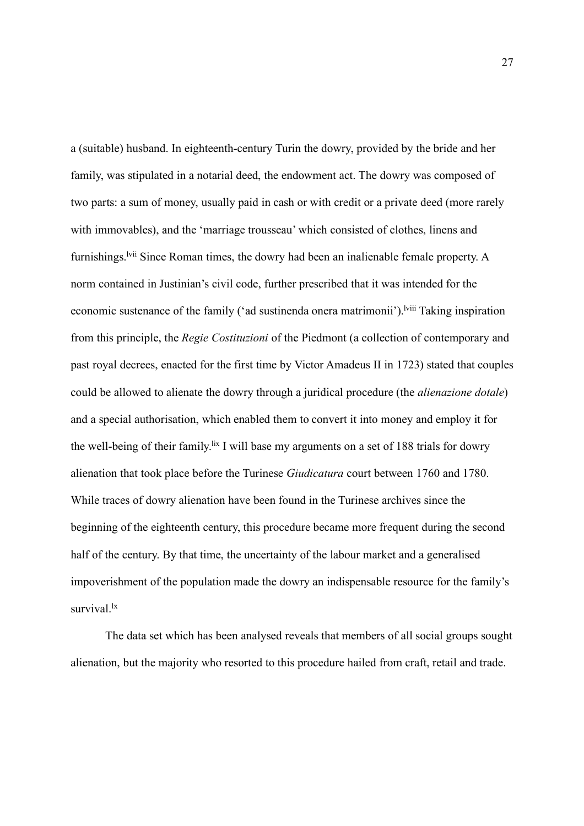a (suitable) husband. In eighteenth-century Turin the dowry, provided by the bride and her family, was stipulated in a notarial deed, the endowment act. The dowry was composed of two parts: a sum of money, usually paid in cash or with credit or a private deed (more rarely with immovables), and the 'marriage trousseau' which consisted of clothes, linens and furnishings.<sup>Ivii</sup> Since Roman times, the dowry had been an inalienable female property. A norm contained in Justinian's civil code, further prescribed that it was intended for the economic sustenance of the family ('ad sustinenda onera matrimonii').<sup>Iviii</sup> Taking inspiration from this principle, the *Regie Costituzioni* of the Piedmont (a collection of contemporary and past royal decrees, enacted for the first time by Victor Amadeus II in 1723) stated that couples could be allowed to alienate the dowry through a juridical procedure (the *alienazione dotale*) and a special authorisation, which enabled them to convert it into money and employ it for the well-being of their family.<sup>lix</sup> I will base my arguments on a set of 188 trials for dowry alienation that took place before the Turinese *Giudicatura* court between 1760 and 1780. While traces of dowry alienation have been found in the Turinese archives since the beginning of the eighteenth century, this procedure became more frequent during the second half of the century. By that time, the uncertainty of the labour market and a generalised impoverishment of the population made the dowry an indispensable resource for the family's survival<sup>k</sup>

The data set which has been analysed reveals that members of all social groups sought alienation, but the majority who resorted to this procedure hailed from craft, retail and trade.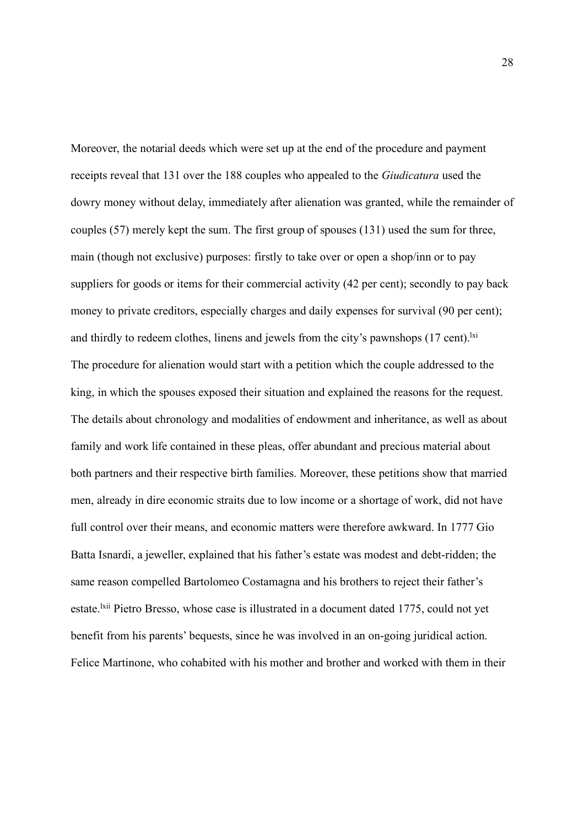Moreover, the notarial deeds which were set up at the end of the procedure and payment receipts reveal that 131 over the 188 couples who appealed to the *Giudicatura* used the dowry money without delay, immediately after alienation was granted, while the remainder of couples (57) merely kept the sum. The first group of spouses (131) used the sum for three, main (though not exclusive) purposes: firstly to take over or open a shop/inn or to pay suppliers for goods or items for their commercial activity (42 per cent); secondly to pay back money to private creditors, especially charges and daily expenses for survival (90 per cent); and thirdly to redeem clothes, linens and jewels from the city's pawnshops  $(17 \text{ cent})$ . The procedure for alienation would start with a petition which the couple addressed to the king, in which the spouses exposed their situation and explained the reasons for the request. The details about chronology and modalities of endowment and inheritance, as well as about family and work life contained in these pleas, offer abundant and precious material about both partners and their respective birth families. Moreover, these petitions show that married men, already in dire economic straits due to low income or a shortage of work, did not have full control over their means, and economic matters were therefore awkward. In 1777 Gio Batta Isnardi, a jeweller, explained that his father's estate was modest and debt-ridden; the same reason compelled Bartolomeo Costamagna and his brothers to reject their father's estate.<sup>1xii</sup> Pietro Bresso, whose case is illustrated in a document dated 1775, could not yet benefit from his parents' bequests, since he was involved in an on-going juridical action. Felice Martinone, who cohabited with his mother and brother and worked with them in their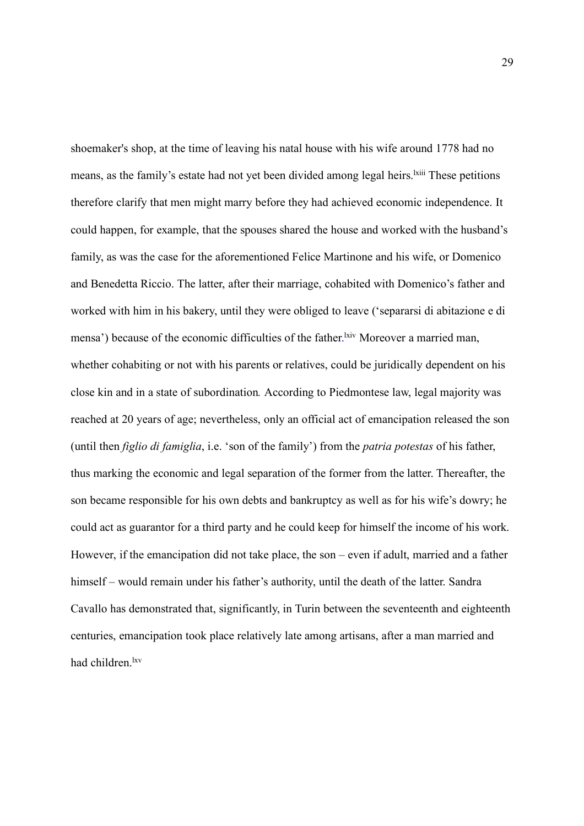shoemaker's shop, at the time of leaving his natal house with his wife around 1778 had no means, as the family's estate had not yet been divided among legal heirs.<sup>1xiii</sup> These petitions therefore clarify that men might marry before they had achieved economic independence. It could happen, for example, that the spouses shared the house and worked with the husband's family, as was the case for the aforementioned Felice Martinone and his wife, or Domenico and Benedetta Riccio. The latter, after their marriage, cohabited with Domenico's father and worked with him in his bakery, until they were obliged to leave ('separarsi di abitazione e di mensa') because of the economic difficulties of the father. Kiv Moreover a married man, whether cohabiting or not with his parents or relatives, could be juridically dependent on his close kin and in a state of subordination*.* According to Piedmontese law, legal majority was reached at 20 years of age; nevertheless, only an official act of emancipation released the son (until then *figlio di famiglia*, i.e. 'son of the family') from the *patria potestas* of his father, thus marking the economic and legal separation of the former from the latter. Thereafter, the son became responsible for his own debts and bankruptcy as well as for his wife's dowry; he could act as guarantor for a third party and he could keep for himself the income of his work. However, if the emancipation did not take place, the son – even if adult, married and a father himself – would remain under his father's authority, until the death of the latter. Sandra Cavallo has demonstrated that, significantly, in Turin between the seventeenth and eighteenth centuries, emancipation took place relatively late among artisans, after a man married and had children.<sup>lxv</sup>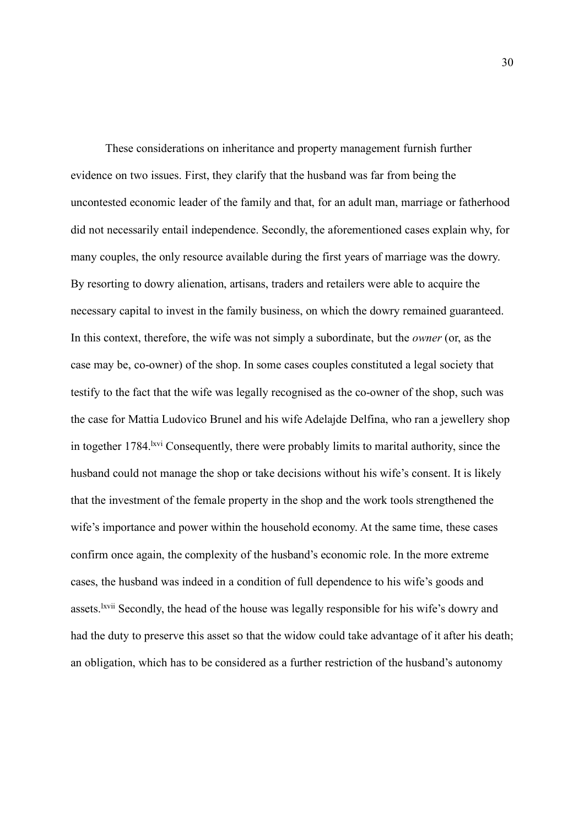These considerations on inheritance and property management furnish further evidence on two issues. First, they clarify that the husband was far from being the uncontested economic leader of the family and that, for an adult man, marriage or fatherhood did not necessarily entail independence. Secondly, the aforementioned cases explain why, for many couples, the only resource available during the first years of marriage was the dowry. By resorting to dowry alienation, artisans, traders and retailers were able to acquire the necessary capital to invest in the family business, on which the dowry remained guaranteed. In this context, therefore, the wife was not simply a subordinate, but the *owner* (or, as the case may be, co-owner) of the shop. In some cases couples constituted a legal society that testify to the fact that the wife was legally recognised as the co-owner of the shop, such was the case for Mattia Ludovico Brunel and his wife Adelajde Delfina, who ran a jewellery shop in together 1784. <sup>Ixvi</sup> Consequently, there were probably limits to marital authority, since the husband could not manage the shop or take decisions without his wife's consent. It is likely that the investment of the female property in the shop and the work tools strengthened the wife's importance and power within the household economy. At the same time, these cases confirm once again, the complexity of the husband's economic role. In the more extreme cases, the husband was indeed in a condition of full dependence to his wife's goods and assets.<sup>lxvii</sup> Secondly, the head of the house was legally responsible for his wife's dowry and had the duty to preserve this asset so that the widow could take advantage of it after his death; an obligation, which has to be considered as a further restriction of the husband's autonomy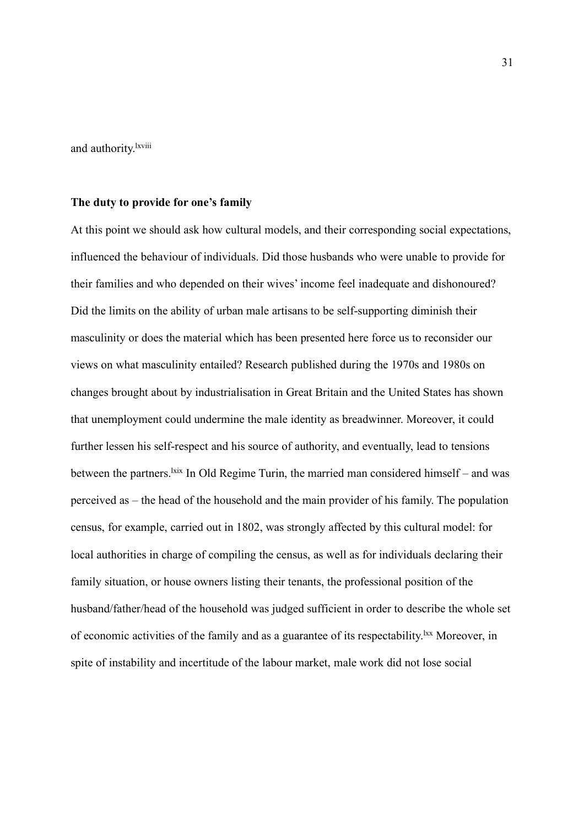and authority.<sup>lxviii</sup>

## **The duty to provide for one's family**

At this point we should ask how cultural models, and their corresponding social expectations, influenced the behaviour of individuals. Did those husbands who were unable to provide for their families and who depended on their wives' income feel inadequate and dishonoured? Did the limits on the ability of urban male artisans to be self-supporting diminish their masculinity or does the material which has been presented here force us to reconsider our views on what masculinity entailed? Research published during the 1970s and 1980s on changes brought about by industrialisation in Great Britain and the United States has shown that unemployment could undermine the male identity as breadwinner. Moreover, it could further lessen his self-respect and his source of authority, and eventually, lead to tensions between the partners.  $\frac{ix}{x}$  In Old Regime Turin, the married man considered himself – and was perceived as – the head of the household and the main provider of his family. The population census, for example, carried out in 1802, was strongly affected by this cultural model: for local authorities in charge of compiling the census, as well as for individuals declaring their family situation, or house owners listing their tenants, the professional position of the husband/father/head of the household was judged sufficient in order to describe the whole set of economic activities of the family and as a guarantee of its respectability.lxx Moreover, in spite of instability and incertitude of the labour market, male work did not lose social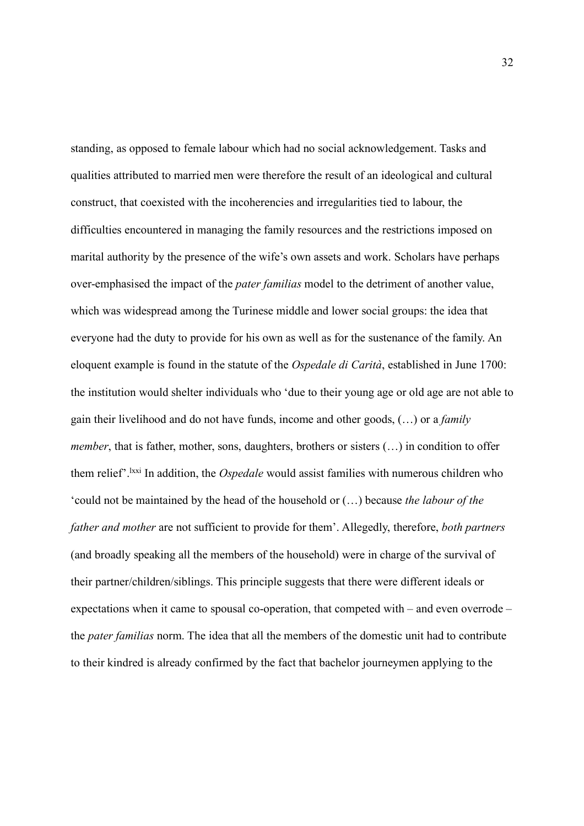standing, as opposed to female labour which had no social acknowledgement. Tasks and qualities attributed to married men were therefore the result of an ideological and cultural construct, that coexisted with the incoherencies and irregularities tied to labour, the difficulties encountered in managing the family resources and the restrictions imposed on marital authority by the presence of the wife's own assets and work. Scholars have perhaps over-emphasised the impact of the *pater familias* model to the detriment of another value, which was widespread among the Turinese middle and lower social groups: the idea that everyone had the duty to provide for his own as well as for the sustenance of the family. An eloquent example is found in the statute of the *Ospedale di Carità*, established in June 1700: the institution would shelter individuals who 'due to their young age or old age are not able to gain their livelihood and do not have funds, income and other goods, (…) or a *family member*, that is father, mother, sons, daughters, brothers or sisters (...) in condition to offer them relief'.lxxi In addition, the *Ospedale* would assist families with numerous children who 'could not be maintained by the head of the household or (…) because *the labour of the father and mother* are not sufficient to provide for them'. Allegedly, therefore, *both partners* (and broadly speaking all the members of the household) were in charge of the survival of their partner/children/siblings. This principle suggests that there were different ideals or expectations when it came to spousal co-operation, that competed with – and even overrode – the *pater familias* norm. The idea that all the members of the domestic unit had to contribute to their kindred is already confirmed by the fact that bachelor journeymen applying to the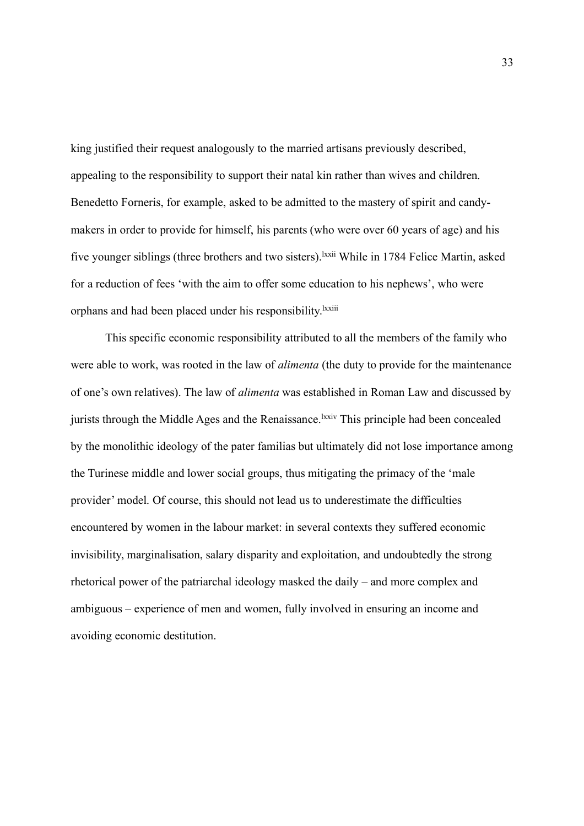king justified their request analogously to the married artisans previously described, appealing to the responsibility to support their natal kin rather than wives and children. Benedetto Forneris, for example, asked to be admitted to the mastery of spirit and candymakers in order to provide for himself, his parents (who were over 60 years of age) and his five younger siblings (three brothers and two sisters). <sup>Ixxii</sup> While in 1784 Felice Martin, asked for a reduction of fees 'with the aim to offer some education to his nephews', who were orphans and had been placed under his responsibility.<sup>Ixxiii</sup>

This specific economic responsibility attributed to all the members of the family who were able to work, was rooted in the law of *alimenta* (the duty to provide for the maintenance of one's own relatives). The law of *alimenta* was established in Roman Law and discussed by jurists through the Middle Ages and the Renaissance.<sup>1xxiv</sup> This principle had been concealed by the monolithic ideology of the pater familias but ultimately did not lose importance among the Turinese middle and lower social groups, thus mitigating the primacy of the 'male provider' model. Of course, this should not lead us to underestimate the difficulties encountered by women in the labour market: in several contexts they suffered economic invisibility, marginalisation, salary disparity and exploitation, and undoubtedly the strong rhetorical power of the patriarchal ideology masked the daily – and more complex and ambiguous – experience of men and women, fully involved in ensuring an income and avoiding economic destitution.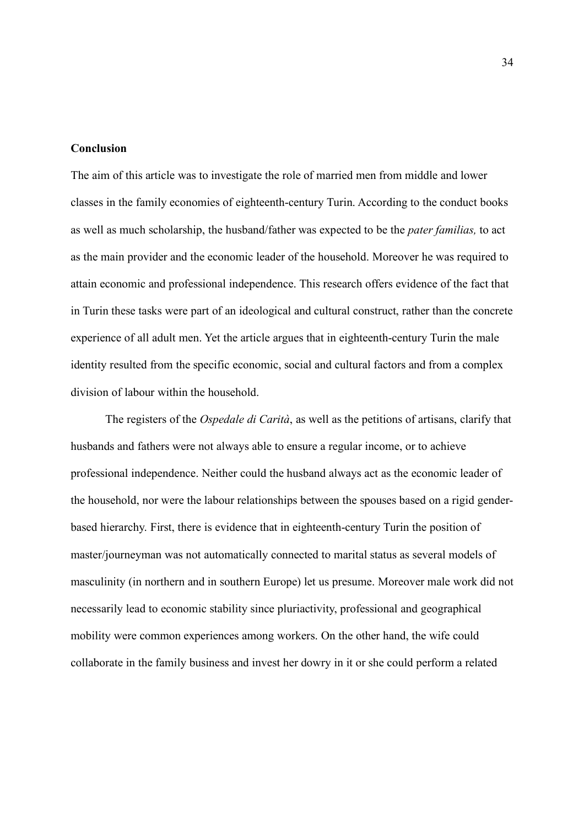### **Conclusion**

The aim of this article was to investigate the role of married men from middle and lower classes in the family economies of eighteenth-century Turin. According to the conduct books as well as much scholarship, the husband/father was expected to be the *pater familias,* to act as the main provider and the economic leader of the household. Moreover he was required to attain economic and professional independence. This research offers evidence of the fact that in Turin these tasks were part of an ideological and cultural construct, rather than the concrete experience of all adult men. Yet the article argues that in eighteenth-century Turin the male identity resulted from the specific economic, social and cultural factors and from a complex division of labour within the household.

The registers of the *Ospedale di Carità*, as well as the petitions of artisans, clarify that husbands and fathers were not always able to ensure a regular income, or to achieve professional independence. Neither could the husband always act as the economic leader of the household, nor were the labour relationships between the spouses based on a rigid genderbased hierarchy. First, there is evidence that in eighteenth-century Turin the position of master/journeyman was not automatically connected to marital status as several models of masculinity (in northern and in southern Europe) let us presume. Moreover male work did not necessarily lead to economic stability since pluriactivity, professional and geographical mobility were common experiences among workers. On the other hand, the wife could collaborate in the family business and invest her dowry in it or she could perform a related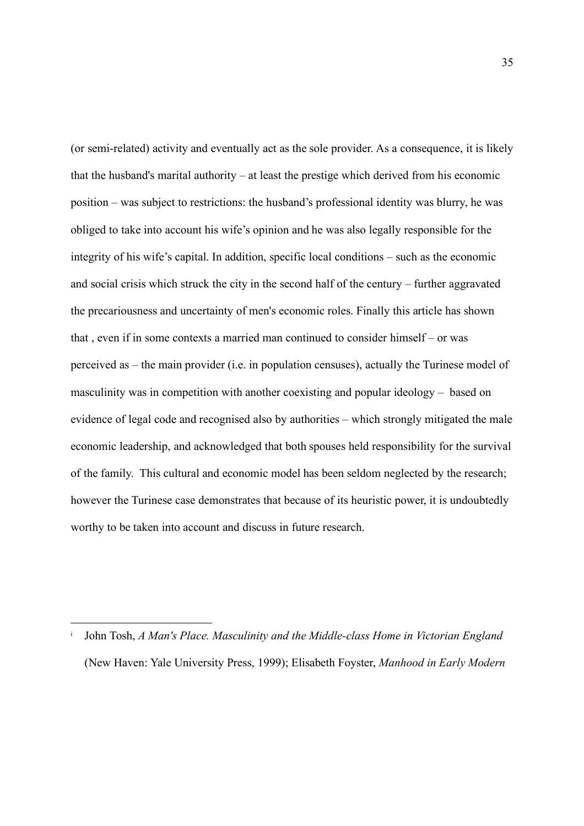(or semi-related) activity and eventually act as the sole provider. As a consequence, it is likely that the husband's marital authority – at least the prestige which derived from his economic position – was subject to restrictions: the husband's professional identity was blurry, he was obliged to take into account his wife's opinion and he was also legally responsible for the integrity of his wife's capital. In addition, specific local conditions – such as the economic and social crisis which struck the city in the second half of the century – further aggravated the precariousness and uncertainty of men's economic roles. Finally this article has shown that , even if in some contexts a married man continued to consider himself – or was perceived as – the main provider (i.e. in population censuses), actually the Turinese model of masculinity was in competition with another coexisting and popular ideology – based on evidence of legal code and recognised also by authorities – which strongly mitigated the male economic leadership, and acknowledged that both spouses held responsibility for the survival of the family. This cultural and economic model has been seldom neglected by the research; however the Turinese case demonstrates that because of its heuristic power, it is undoubtedly worthy to be taken into account and discuss in future research.

i John Tosh, *A Man's Place. Masculinity and the Middle-class Home in Victorian England*  (New Haven: Yale University Press, 1999); Elisabeth Foyster, *Manhood in Early Modern*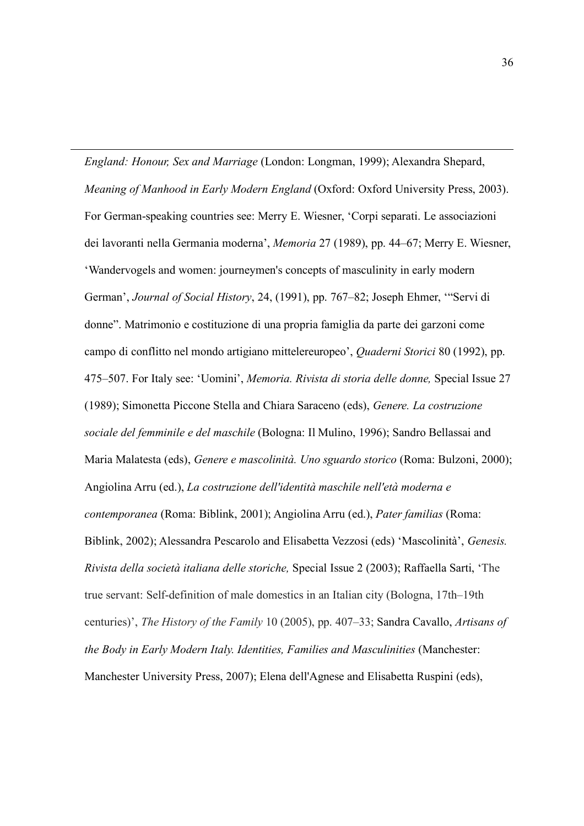*England: Honour, Sex and Marriage* (London: Longman, 1999); Alexandra Shepard, *Meaning of Manhood in Early Modern England* (Oxford: Oxford University Press, 2003). For German-speaking countries see: Merry E. Wiesner, ʻCorpi separati. Le associazioni dei lavoranti nella Germania moderna', *Memoria* 27 (1989), pp. 44–67; Merry E. Wiesner, ʻWandervogels and women: journeymen's concepts of masculinity in early modern German', *Journal of Social History*, 24, (1991), pp. 767–82; Joseph Ehmer, ʻ"Servi di donne". Matrimonio e costituzione di una propria famiglia da parte dei garzoni come campo di conflitto nel mondo artigiano mittelereuropeo', *Quaderni Storici* 80 (1992), pp. 475–507. For Italy see: ʻUomini', *Memoria. Rivista di storia delle donne,* Special Issue 27 (1989); Simonetta Piccone Stella and Chiara Saraceno (eds), *Genere. La costruzione sociale del femminile e del maschile* (Bologna: Il Mulino, 1996); Sandro Bellassai and Maria Malatesta (eds), *Genere e mascolinità. Uno sguardo storico* (Roma: Bulzoni, 2000); Angiolina Arru (ed.), *La costruzione dell'identità maschile nell'età moderna e contemporanea* (Roma: Biblink, 2001); Angiolina Arru (ed.), *Pater familias* (Roma: Biblink, 2002); Alessandra Pescarolo and Elisabetta Vezzosi (eds) ʻMascolinità', *Genesis. Rivista della società italiana delle storiche,* Special Issue 2 (2003); Raffaella Sarti, ʻThe true servant: Self-definition of male domestics in an Italian city (Bologna, 17th–19th centuries)', *The History of the Family* 10 (2005), pp. 407–33; Sandra Cavallo, *Artisans of the Body in Early Modern Italy. Identities, Families and Masculinities* (Manchester: Manchester University Press, 2007); Elena dell'Agnese and Elisabetta Ruspini (eds),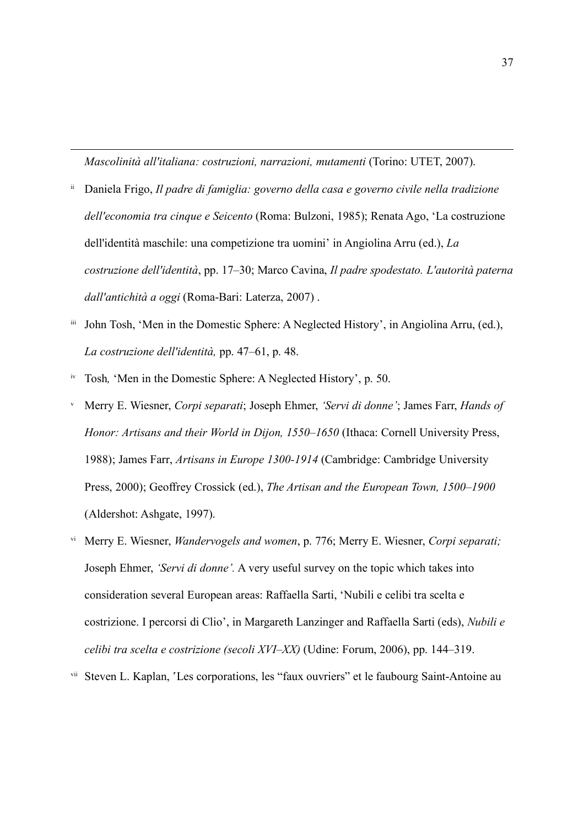*Mascolinità all'italiana: costruzioni, narrazioni, mutamenti* (Torino: UTET, 2007).

- ii Daniela Frigo, *Il padre di famiglia: governo della casa e governo civile nella tradizione dell'economia tra cinque e Seicento* (Roma: Bulzoni, 1985); Renata Ago, ʻLa costruzione dell'identità maschile: una competizione tra uomini' in Angiolina Arru (ed.), *La costruzione dell'identità*, pp. 17–30; Marco Cavina, *Il padre spodestato. L'autorità paterna dall'antichità a oggi* (Roma-Bari: Laterza, 2007) .
- iii John Tosh, ʻMen in the Domestic Sphere: A Neglected History', in Angiolina Arru, (ed.), *La costruzione dell'identità,* pp. 47–61, p. 48.
- iv Tosh*,* ʻMen in the Domestic Sphere: A Neglected History', p. 50.

- <sup>v</sup> Merry E. Wiesner, *Corpi separati*; Joseph Ehmer, *'Servi di donne'*; James Farr, *Hands of Honor: Artisans and their World in Dijon, 1550–1650* (Ithaca: Cornell University Press, 1988); James Farr, *Artisans in Europe 1300-1914* (Cambridge: Cambridge University Press, 2000); Geoffrey Crossick (ed.), *The Artisan and the European Town, 1500–1900*  (Aldershot: Ashgate, 1997).
- vi Merry E. Wiesner, *Wandervogels and women*, p. 776; Merry E. Wiesner, *Corpi separati;* Joseph Ehmer, *'Servi di donne'.* A very useful survey on the topic which takes into consideration several European areas: Raffaella Sarti, ʻNubili e celibi tra scelta e costrizione. I percorsi di Clio', in Margareth Lanzinger and Raffaella Sarti (eds), *Nubili e celibi tra scelta e costrizione (secoli XVI–XX)* (Udine: Forum, 2006), pp. 144–319.

vii Steven L. Kaplan, ʽLes corporations, les "faux ouvriers" et le faubourg Saint-Antoine au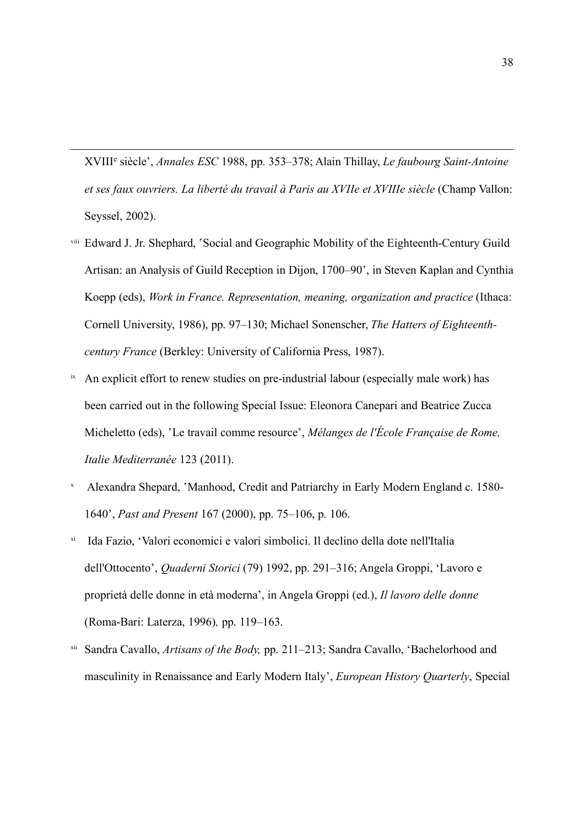XVIIIe siècle', *Annales ESC* 1988, pp. 353–378; Alain Thillay, *Le faubourg Saint-Antoine et ses faux ouvriers. La liberté du travail à Paris au XVIIe et XVIIIe siècle* (Champ Vallon: Seyssel, 2002).

- viii Edward J. Jr. Shephard, ʽSocial and Geographic Mobility of the Eighteenth-Century Guild Artisan: an Analysis of Guild Reception in Dijon, 1700–90', in Steven Kaplan and Cynthia Koepp (eds), *Work in France. Representation, meaning, organization and practice* (Ithaca: Cornell University, 1986), pp. 97–130; Michael Sonenscher, *The Hatters of Eighteenthcentury France* (Berkley: University of California Press, 1987).
- <sup>ix</sup> An explicit effort to renew studies on pre-industrial labour (especially male work) has been carried out in the following Special Issue: Eleonora Canepari and Beatrice Zucca Micheletto (eds), 'Le travail comme resource', *Mélanges de l'École Française de Rome*, *Italie Mediterranée* 123 (2011).
- Alexandra Shepard, `Manhood, Credit and Patriarchy in Early Modern England c. 1580-1640', *Past and Present* 167 (2000), pp. 75–106, p. 106.
- xi Ida Fazio, ʻValori economici e valori simbolici. Il declino della dote nell'Italia dell'Ottocento', *Quaderni Storici* (79) 1992, pp. 291–316; Angela Groppi, ʻLavoro e proprietà delle donne in età moderna', in Angela Groppi (ed.), *Il lavoro delle donne* (Roma-Bari: Laterza, 1996)*,* pp. 119–163.
- xii Sandra Cavallo, *Artisans of the Body,* pp. 211–213; Sandra Cavallo, ʻBachelorhood and masculinity in Renaissance and Early Modern Italy', *European History Quarterly*, Special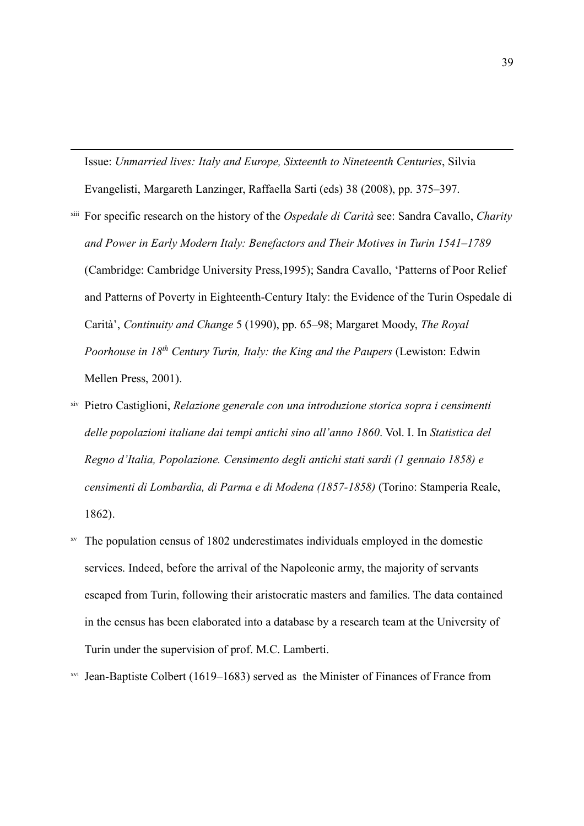Issue: *Unmarried lives: Italy and Europe, Sixteenth to Nineteenth Centuries*, Silvia Evangelisti, Margareth Lanzinger, Raffaella Sarti (eds) 38 (2008), pp. 375–397.

- xiii For specific research on the history of the *Ospedale di Carità* see: Sandra Cavallo, *Charity and Power in Early Modern Italy: Benefactors and Their Motives in Turin 1541–1789*  (Cambridge: Cambridge University Press,1995); Sandra Cavallo, ʻPatterns of Poor Relief and Patterns of Poverty in Eighteenth-Century Italy: the Evidence of the Turin Ospedale di Carità', *Continuity and Change* 5 (1990), pp. 65–98; Margaret Moody, *The Royal Poorhouse in 18th Century Turin, Italy: the King and the Paupers* (Lewiston: Edwin Mellen Press, 2001).
- xiv Pietro Castiglioni, *Relazione generale con una introduzione storica sopra i censimenti delle popolazioni italiane dai tempi antichi sino all'anno 1860*. Vol. I. In *Statistica del Regno d'Italia, Popolazione. Censimento degli antichi stati sardi (1 gennaio 1858) e censimenti di Lombardia, di Parma e di Modena (1857-1858)* (Torino: Stamperia Reale, 1862).
- xv The population census of 1802 underestimates individuals employed in the domestic services. Indeed, before the arrival of the Napoleonic army, the majority of servants escaped from Turin, following their aristocratic masters and families. The data contained in the census has been elaborated into a database by a research team at the University of Turin under the supervision of prof. M.C. Lamberti.
- xvi Jean-Baptiste Colbert (1619–1683) served as the Minister of Finances of France from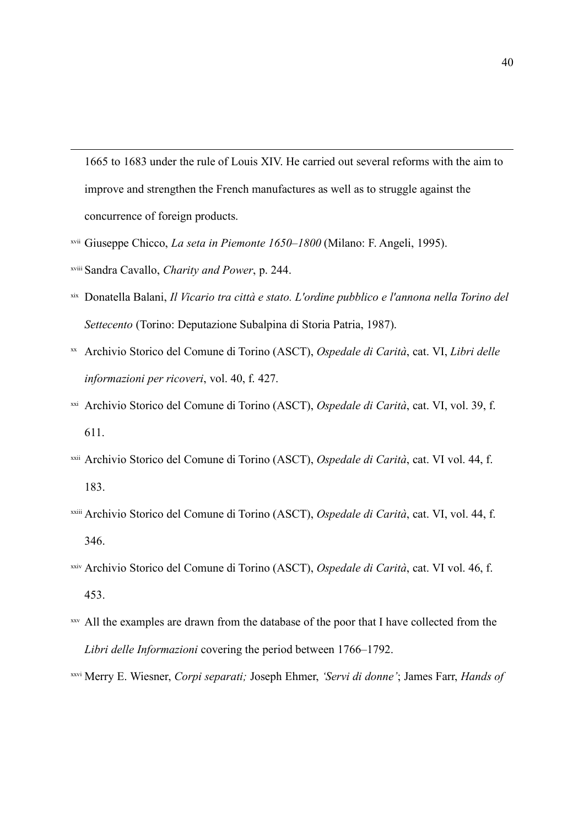1665 to 1683 under the rule of Louis XIV. He carried out several reforms with the aim to improve and strengthen the French manufactures as well as to struggle against the concurrence of foreign products.

- xvii Giuseppe Chicco, *La seta in Piemonte 1650–1800* (Milano: F. Angeli, 1995).
- xviii Sandra Cavallo, *Charity and Power*, p. 244.

- xix Donatella Balani, *Il Vicario tra città e stato. L'ordine pubblico e l'annona nella Torino del Settecento* (Torino: Deputazione Subalpina di Storia Patria, 1987).
- xx Archivio Storico del Comune di Torino (ASCT), *Ospedale di Carità*, cat. VI, *Libri delle informazioni per ricoveri*, vol. 40, f. 427.
- xxi Archivio Storico del Comune di Torino (ASCT), *Ospedale di Carità*, cat. VI, vol. 39, f. 611.
- xxii Archivio Storico del Comune di Torino (ASCT), *Ospedale di Carità*, cat. VI vol. 44, f. 183.
- xxiii Archivio Storico del Comune di Torino (ASCT), *Ospedale di Carità*, cat. VI, vol. 44, f. 346.
- xxiv Archivio Storico del Comune di Torino (ASCT), *Ospedale di Carità*, cat. VI vol. 46, f. 453.
- xxv All the examples are drawn from the database of the poor that I have collected from the *Libri delle Informazioni* covering the period between 1766–1792.
- xxvi Merry E. Wiesner, *Corpi separati;* Joseph Ehmer, *'Servi di donne'*; James Farr, *Hands of*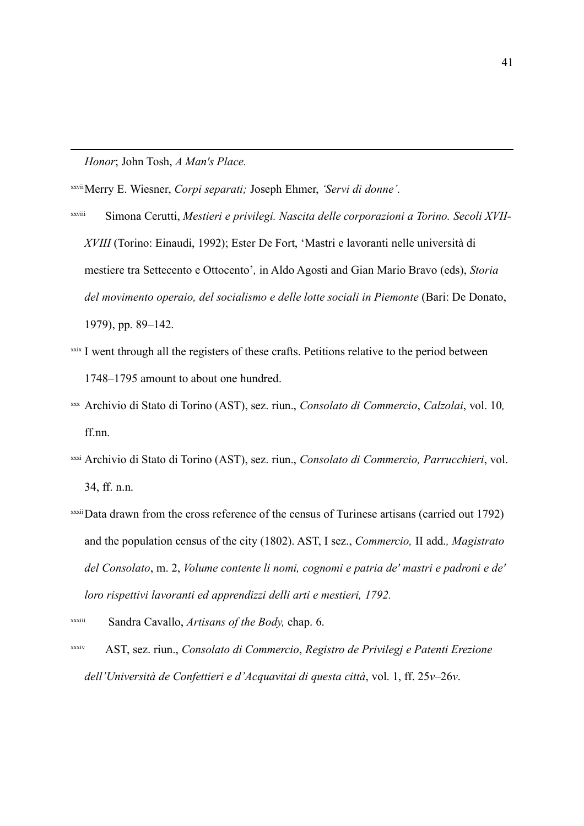*Honor*; John Tosh, *A Man's Place.*

 $\overline{a}$ 

xxviiMerry E. Wiesner, *Corpi separati;* Joseph Ehmer, *'Servi di donne'.*

- xxviii Simona Cerutti, *Mestieri e privilegi. Nascita delle corporazioni a Torino. Secoli XVII-XVIII* (Torino: Einaudi, 1992); Ester De Fort, ʻMastri e lavoranti nelle università di mestiere tra Settecento e Ottocento'*,* in Aldo Agosti and Gian Mario Bravo (eds), *Storia*  del movimento operaio, del socialismo e delle lotte sociali in Piemonte (Bari: De Donato, 1979), pp. 89–142.
- xxix I went through all the registers of these crafts. Petitions relative to the period between 1748–1795 amount to about one hundred.
- xxx Archivio di Stato di Torino (AST), sez. riun., *Consolato di Commercio*, *Calzolai*, vol. 10*,*  ff.nn.
- xxxi Archivio di Stato di Torino (AST), sez. riun., *Consolato di Commercio, Parrucchieri*, vol. 34, ff. n.n.
- xxxiiData drawn from the cross reference of the census of Turinese artisans (carried out 1792) and the population census of the city (1802). AST, I sez., *Commercio,* II add.*, Magistrato del Consolato*, m. 2, *Volume contente li nomi, cognomi e patria de' mastri e padroni e de' loro rispettivi lavoranti ed apprendizzi delli arti e mestieri, 1792.*

xxxiv AST, sez. riun., *Consolato di Commercio*, *Registro de Privilegj e Patenti Erezione dell'Università de Confettieri e d'Acquavitai di questa città*, vol. 1, ff. 25*v*–26*v*.

xxxiii Sandra Cavallo, *Artisans of the Body,* chap. 6.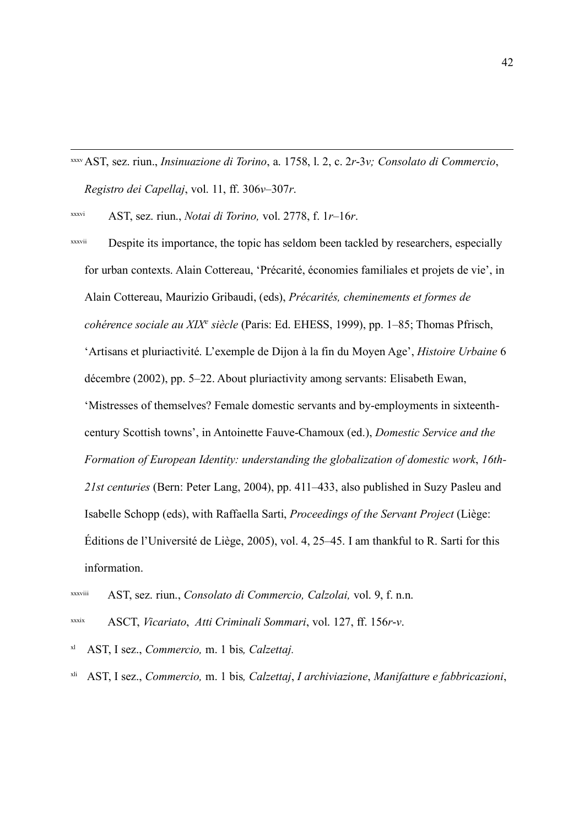xxxvAST, sez. riun., *Insinuazione di Torino*, a. 1758, l. 2, c. 2*r*-3*v; Consolato di Commercio*, *Registro dei Capellaj*, vol. 11, ff. 306*v*–307*r*.

xxxvi AST, sez. riun., *Notai di Torino,* vol. 2778, f. 1*r*–16*r*.

xxxvii Despite its importance, the topic has seldom been tackled by researchers, especially for urban contexts. Alain Cottereau, ʻPrécarité, économies familiales et projets de vie', in Alain Cottereau, Maurizio Gribaudi, (eds), *Précarités, cheminements et formes de cohérence sociale au XIXe siècle* (Paris: Ed. EHESS, 1999), pp. 1–85; Thomas Pfrisch, ʻArtisans et pluriactivité. L'exemple de Dijon à la fin du Moyen Age', *Histoire Urbaine* 6 décembre (2002), pp. 5–22. About pluriactivity among servants: Elisabeth Ewan, ʻMistresses of themselves? Female domestic servants and by-employments in sixteenthcentury Scottish towns', in Antoinette Fauve-Chamoux (ed.), *Domestic Service and the Formation of European Identity: understanding the globalization of domestic work*, *16th-21st centuries* (Bern: Peter Lang, 2004), pp. 411–433, also published in Suzy Pasleu and Isabelle Schopp (eds), with Raffaella Sarti, *Proceedings of the Servant Project* (Liège: Éditions de l'Université de Liège, 2005), vol. 4, 25–45. I am thankful to R. Sarti for this information.

xxxviii AST, sez. riun., *Consolato di Commercio, Calzolai,* vol. 9, f. n.n.

xxxix ASCT, *Vicariato*, *Atti Criminali Sommari*, vol. 127, ff. 156*r*-*v*.

xl AST, I sez., *Commercio,* m. 1 bis*, Calzettaj.*

xli AST, I sez., *Commercio,* m. 1 bis*, Calzettaj*, *I archiviazione*, *Manifatture e fabbricazioni*,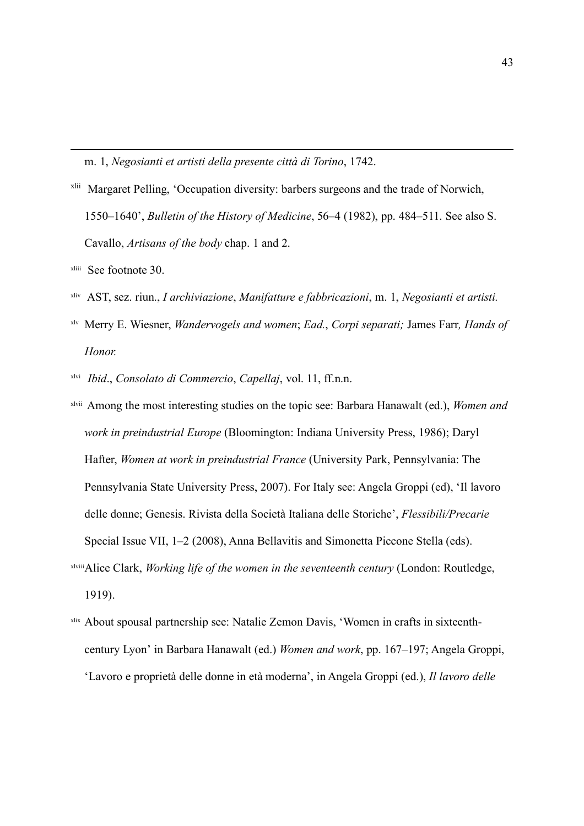m. 1, *Negosianti et artisti della presente città di Torino*, 1742.

- xlii Margaret Pelling, ʻOccupation diversity: barbers surgeons and the trade of Norwich, 1550–1640', *Bulletin of the History of Medicine*, 56–4 (1982), pp. 484–511. See also S. Cavallo, *Artisans of the body* chap. 1 and 2.
- xliii See footnote 30.

 $\overline{a}$ 

- xliv AST, sez. riun., *I archiviazione*, *Manifatture e fabbricazioni*, m. 1, *Negosianti et artisti.*
- xlv Merry E. Wiesner, *Wandervogels and women*; *Ead.*, *Corpi separati;* James Farr*, Hands of Honor.*
- xlvi *Ibid*., *Consolato di Commercio*, *Capellaj*, vol. 11, ff.n.n.
- xlvii Among the most interesting studies on the topic see: Barbara Hanawalt (ed.), *Women and work in preindustrial Europe* (Bloomington: Indiana University Press, 1986); Daryl Hafter, *Women at work in preindustrial France* (University Park, Pennsylvania: The Pennsylvania State University Press, 2007). For Italy see: Angela Groppi (ed), 'Il lavoro delle donne; Genesis. Rivista della Società Italiana delle Storiche', *Flessibili/Precarie* Special Issue VII, 1–2 (2008), Anna Bellavitis and Simonetta Piccone Stella (eds). xlviiiAlice Clark, *Working life of the women in the seventeenth century* (London: Routledge,

1919).

xlix About spousal partnership see: Natalie Zemon Davis, ʻWomen in crafts in sixteenthcentury Lyon' in Barbara Hanawalt (ed.) *Women and work*, pp. 167–197; Angela Groppi, ʻLavoro e proprietà delle donne in età moderna', in Angela Groppi (ed.), *Il lavoro delle*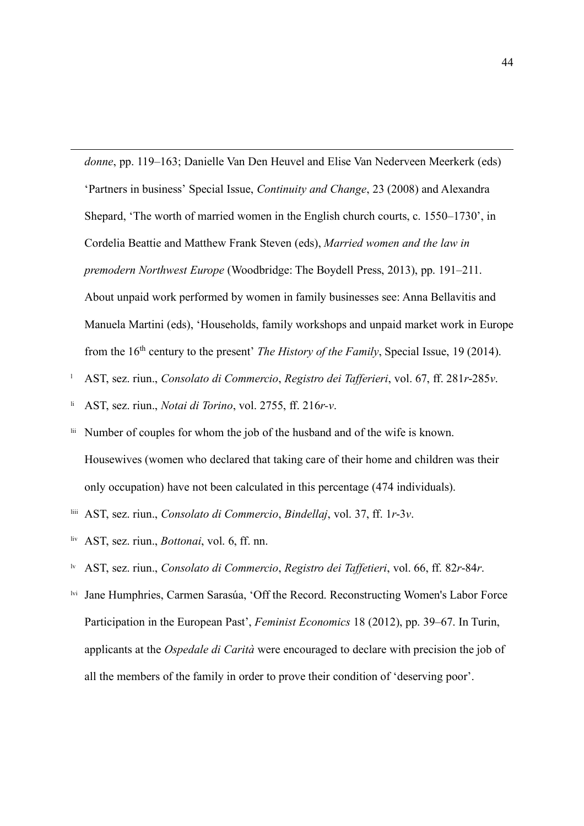*donne*, pp. 119–163; Danielle Van Den Heuvel and Elise Van Nederveen Meerkerk (eds) ʻPartners in business' Special Issue, *Continuity and Change*, 23 (2008) and Alexandra Shepard, ʻThe worth of married women in the English church courts, c. 1550–1730', in Cordelia Beattie and Matthew Frank Steven (eds), *Married women and the law in premodern Northwest Europe* (Woodbridge: The Boydell Press, 2013), pp. 191–211. About unpaid work performed by women in family businesses see: Anna Bellavitis and Manuela Martini (eds), ʻHouseholds, family workshops and unpaid market work in Europe from the 16th century to the present' *The History of the Family*, Special Issue, 19 (2014).

- <sup>l</sup> AST, sez. riun., *Consolato di Commercio*, *Registro dei Tafferieri*, vol. 67, ff. 281*r*-285*v*.
- li AST, sez. riun., *Notai di Torino*, vol. 2755, ff. 216*r-v*.
- lii Number of couples for whom the job of the husband and of the wife is known. Housewives (women who declared that taking care of their home and children was their only occupation) have not been calculated in this percentage (474 individuals).
- liii AST, sez. riun., *Consolato di Commercio*, *Bindellaj*, vol. 37, ff. 1*r*-3*v*.
- liv AST, sez. riun., *Bottonai*, vol. 6, ff. nn.

- lv AST, sez. riun., *Consolato di Commercio*, *Registro dei Taffetieri*, vol. 66, ff. 82*r*-84*r*.
- Jane Humphries, Carmen Sarasúa, 'Off the Record. Reconstructing Women's Labor Force Participation in the European Past', *Feminist Economics* 18 (2012), pp. 39–67. In Turin, applicants at the *Ospedale di Carità* were encouraged to declare with precision the job of all the members of the family in order to prove their condition of ʻdeserving poor'.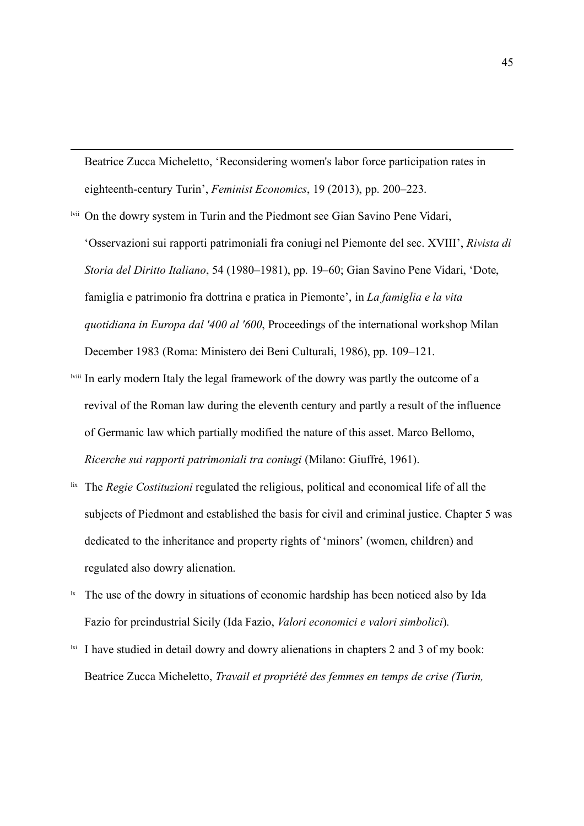Beatrice Zucca Micheletto, ʻReconsidering women's labor force participation rates in eighteenth-century Turin', *Feminist Economics*, 19 (2013), pp. 200–223.

lvii On the dowry system in Turin and the Piedmont see Gian Savino Pene Vidari,

 $\overline{a}$ 

ʻOsservazioni sui rapporti patrimoniali fra coniugi nel Piemonte del sec. XVIII', *Rivista di Storia del Diritto Italiano*, 54 (1980–1981), pp. 19–60; Gian Savino Pene Vidari, ʻDote, famiglia e patrimonio fra dottrina e pratica in Piemonte', in *La famiglia e la vita quotidiana in Europa dal '400 al '600*, Proceedings of the international workshop Milan December 1983 (Roma: Ministero dei Beni Culturali, 1986), pp. 109–121.

- lviii In early modern Italy the legal framework of the dowry was partly the outcome of a revival of the Roman law during the eleventh century and partly a result of the influence of Germanic law which partially modified the nature of this asset. Marco Bellomo, *Ricerche sui rapporti patrimoniali tra coniugi* (Milano: Giuffré, 1961).
- lix The *Regie Costituzioni* regulated the religious, political and economical life of all the subjects of Piedmont and established the basis for civil and criminal justice. Chapter 5 was dedicated to the inheritance and property rights of 'minors' (women, children) and regulated also dowry alienation.
- $\mu$ <sup>1x</sup> The use of the dowry in situations of economic hardship has been noticed also by Ida Fazio for preindustrial Sicily (Ida Fazio, *Valori economici e valori simbolici*)*.*
- $\frac{1}{x}$  I have studied in detail dowry and dowry alienations in chapters 2 and 3 of my book: Beatrice Zucca Micheletto, *Travail et propriété des femmes en temps de crise (Turin,*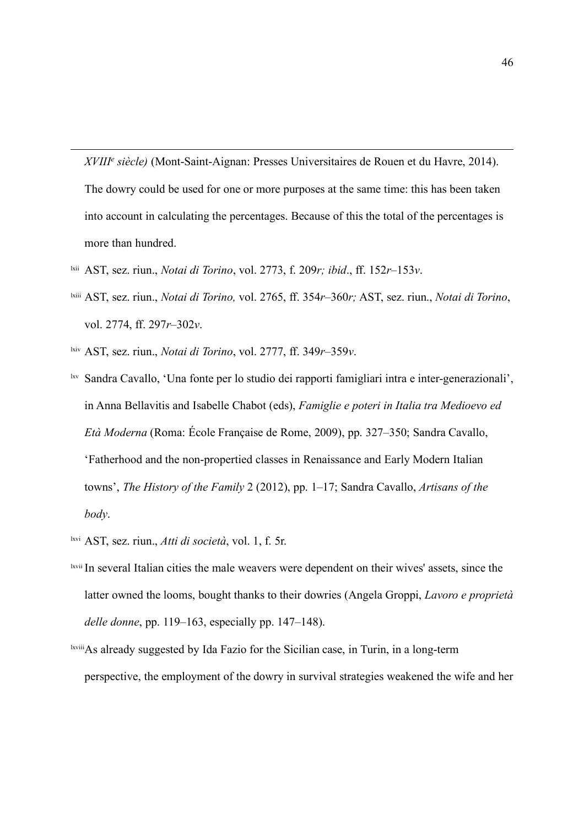*XVIIIe siècle)* (Mont-Saint-Aignan: Presses Universitaires de Rouen et du Havre, 2014). The dowry could be used for one or more purposes at the same time: this has been taken into account in calculating the percentages. Because of this the total of the percentages is more than hundred.

- lxii AST, sez. riun., *Notai di Torino*, vol. 2773, f. 209*r; ibid*., ff. 152*r*–153*v*.
- lxiii AST, sez. riun., *Notai di Torino,* vol. 2765, ff. 354*r*–360*r;* AST, sez. riun., *Notai di Torino*, vol. 2774, ff. 297*r*–302*v*.
- lxiv AST, sez. riun., *Notai di Torino*, vol. 2777, ff. 349*r*–359*v*.

- lxv Sandra Cavallo, ʻUna fonte per lo studio dei rapporti famigliari intra e inter-generazionali', in Anna Bellavitis and Isabelle Chabot (eds), *Famiglie e poteri in Italia tra Medioevo ed Età Moderna* (Roma: École Française de Rome, 2009), pp. 327–350; Sandra Cavallo, ʻFatherhood and the non-propertied classes in Renaissance and Early Modern Italian towns', *The History of the Family* 2 (2012), pp. 1–17; Sandra Cavallo, *Artisans of the body*.
- lxvi AST, sez. riun., *Atti di società*, vol. 1, f. 5r.
- lxvii In several Italian cities the male weavers were dependent on their wives' assets, since the latter owned the looms, bought thanks to their dowries (Angela Groppi, *Lavoro e proprietà delle donne*, pp. 119–163, especially pp. 147–148).
- lxviiiAs already suggested by Ida Fazio for the Sicilian case, in Turin, in a long-term perspective, the employment of the dowry in survival strategies weakened the wife and her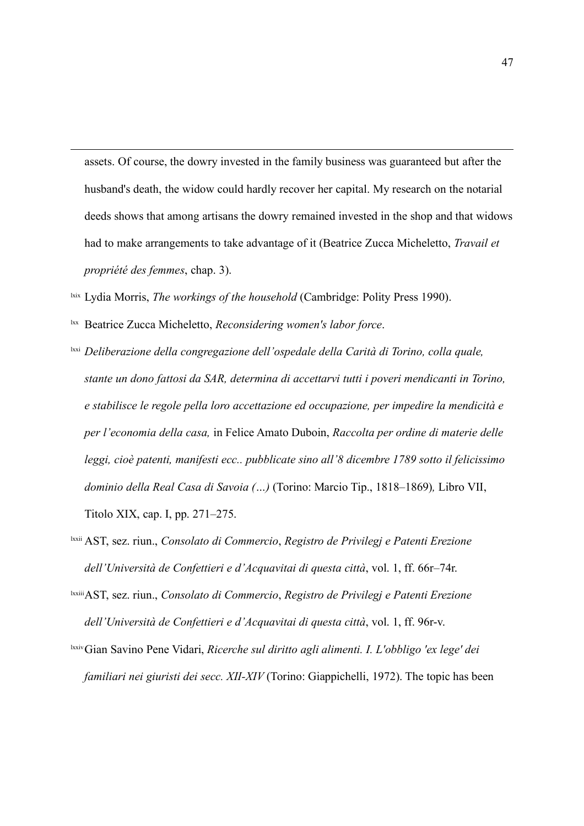assets. Of course, the dowry invested in the family business was guaranteed but after the husband's death, the widow could hardly recover her capital. My research on the notarial deeds shows that among artisans the dowry remained invested in the shop and that widows had to make arrangements to take advantage of it (Beatrice Zucca Micheletto, *Travail et propriété des femmes*, chap. 3).

- lxix Lydia Morris, *The workings of the household* (Cambridge: Polity Press 1990).
- lxx Beatrice Zucca Micheletto, *Reconsidering women's labor force*.

- lxxi *Deliberazione della congregazione dell'ospedale della Carità di Torino, colla quale, stante un dono fattosi da SAR, determina di accettarvi tutti i poveri mendicanti in Torino, e stabilisce le regole pella loro accettazione ed occupazione, per impedire la mendicità e per l'economia della casa,* in Felice Amato Duboin, *Raccolta per ordine di materie delle leggi, cioè patenti, manifesti ecc.. pubblicate sino all'8 dicembre 1789 sotto il felicissimo dominio della Real Casa di Savoia (…)* (Torino: Marcio Tip., 1818–1869)*,* Libro VII, Titolo XIX, cap. I, pp. 271–275.
- lxxii AST, sez. riun., *Consolato di Commercio*, *Registro de Privilegj e Patenti Erezione dell'Università de Confettieri e d'Acquavitai di questa città*, vol. 1, ff. 66r–74r.
- lxxiiiAST, sez. riun., *Consolato di Commercio*, *Registro de Privilegj e Patenti Erezione dell'Università de Confettieri e d'Acquavitai di questa città*, vol. 1, ff. 96r-v.
- lxxivGian Savino Pene Vidari, *Ricerche sul diritto agli alimenti. I. L'obbligo 'ex lege' dei familiari nei giuristi dei secc. XII-XIV* (Torino: Giappichelli, 1972). The topic has been